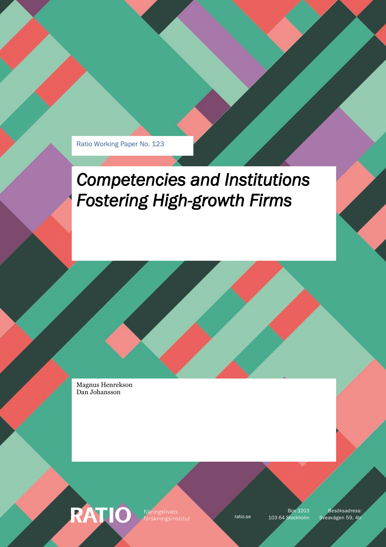Ratio Working Paper No. 123

# *Competencies and Institutions Fostering High-growth Firms*

Magnus Henrekson Dan Johansson

RATIO

Näringslivets

Box 3203

ratio.se 103 64 Stockholm Sveavägen 59, 4tr Besöksadress: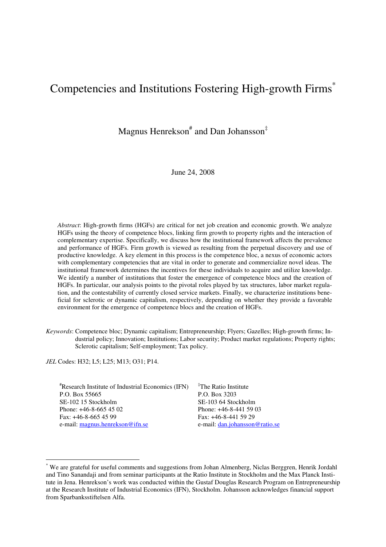# Competencies and Institutions Fostering High-growth Firms<sup>\*</sup>

Magnus Henrekson $^{\text{\#}}$  and Dan Johansson $^{\text{\#}}$ 

June 24, 2008

*Abstract*: High-growth firms (HGFs) are critical for net job creation and economic growth. We analyze HGFs using the theory of competence blocs, linking firm growth to property rights and the interaction of complementary expertise. Specifically, we discuss how the institutional framework affects the prevalence and performance of HGFs. Firm growth is viewed as resulting from the perpetual discovery and use of productive knowledge. A key element in this process is the competence bloc, a nexus of economic actors with complementary competencies that are vital in order to generate and commercialize novel ideas. The institutional framework determines the incentives for these individuals to acquire and utilize knowledge. We identify a number of institutions that foster the emergence of competence blocs and the creation of HGFs. In particular, our analysis points to the pivotal roles played by tax structures, labor market regulation, and the contestability of currently closed service markets. Finally, we characterize institutions beneficial for sclerotic or dynamic capitalism, respectively, depending on whether they provide a favorable environment for the emergence of competence blocs and the creation of HGFs.

*Keywords*: Competence bloc; Dynamic capitalism; Entrepreneurship; Flyers; Gazelles; High-growth firms; Industrial policy; Innovation; Institutions; Labor security; Product market regulations; Property rights; Sclerotic capitalism; Self-employment; Tax policy.

*JEL* Codes: H32; L5; L25; M13; O31; P14.

 $\overline{a}$ 

 $*$ Research Institute of Industrial Economics (IFN)  $*$ <sup>†</sup>The Ratio Institute P.O. Box 55665 <br>SE-102 15 Stockholm <br>SE-103 64 Stockholm <br>SE-103 64 Stockholm <br>SE-103 64 Stockholm <br>SE-103 64 Stockholm <br>SE-103 64 Stockholm <br>SE-103 64 Stockholm <br>SE-103 64 Stockholm <br>SE-103 64 Stockholm <br>SE-103 64 Stockho Phone: +46-8-665 45 02 Phone: +46-8-441 59 03 Fax: +46-8-665 45 99 Fax: +46-8-441 59 29 e-mail: magnus.henrekson@ifn.se e-mail: dan.johansson@ratio.se

SE-103 64 Stockholm

<sup>\*</sup> We are grateful for useful comments and suggestions from Johan Almenberg, Niclas Berggren, Henrik Jordahl and Tino Sanandaji and from seminar participants at the Ratio Institute in Stockholm and the Max Planck Institute in Jena. Henrekson's work was conducted within the Gustaf Douglas Research Program on Entrepreneurship at the Research Institute of Industrial Economics (IFN), Stockholm. Johansson acknowledges financial support from Sparbanksstiftelsen Alfa.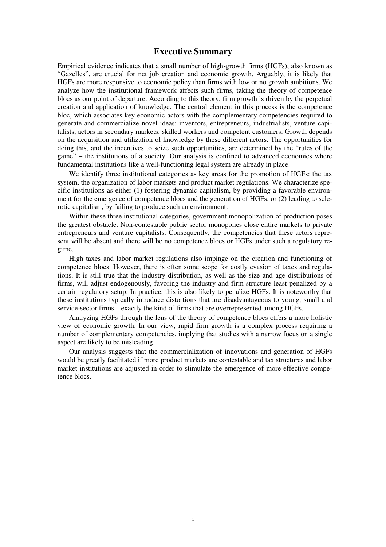#### **Executive Summary**

Empirical evidence indicates that a small number of high-growth firms (HGFs), also known as "Gazelles", are crucial for net job creation and economic growth. Arguably, it is likely that HGFs are more responsive to economic policy than firms with low or no growth ambitions. We analyze how the institutional framework affects such firms, taking the theory of competence blocs as our point of departure. According to this theory, firm growth is driven by the perpetual creation and application of knowledge. The central element in this process is the competence bloc, which associates key economic actors with the complementary competencies required to generate and commercialize novel ideas: inventors, entrepreneurs, industrialists, venture capitalists, actors in secondary markets, skilled workers and competent customers. Growth depends on the acquisition and utilization of knowledge by these different actors. The opportunities for doing this, and the incentives to seize such opportunities, are determined by the "rules of the game" – the institutions of a society. Our analysis is confined to advanced economies where fundamental institutions like a well-functioning legal system are already in place.

We identify three institutional categories as key areas for the promotion of HGFs: the tax system, the organization of labor markets and product market regulations. We characterize specific institutions as either (1) fostering dynamic capitalism, by providing a favorable environment for the emergence of competence blocs and the generation of HGFs; or (2) leading to sclerotic capitalism, by failing to produce such an environment.

Within these three institutional categories, government monopolization of production poses the greatest obstacle. Non-contestable public sector monopolies close entire markets to private entrepreneurs and venture capitalists. Consequently, the competencies that these actors represent will be absent and there will be no competence blocs or HGFs under such a regulatory regime.

High taxes and labor market regulations also impinge on the creation and functioning of competence blocs. However, there is often some scope for costly evasion of taxes and regulations. It is still true that the industry distribution, as well as the size and age distributions of firms, will adjust endogenously, favoring the industry and firm structure least penalized by a certain regulatory setup. In practice, this is also likely to penalize HGFs. It is noteworthy that these institutions typically introduce distortions that are disadvantageous to young, small and service-sector firms – exactly the kind of firms that are overrepresented among HGFs.

Analyzing HGFs through the lens of the theory of competence blocs offers a more holistic view of economic growth. In our view, rapid firm growth is a complex process requiring a number of complementary competencies, implying that studies with a narrow focus on a single aspect are likely to be misleading.

Our analysis suggests that the commercialization of innovations and generation of HGFs would be greatly facilitated if more product markets are contestable and tax structures and labor market institutions are adjusted in order to stimulate the emergence of more effective competence blocs.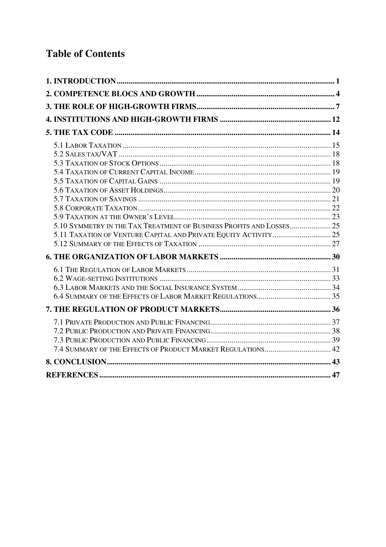# **Table of Contents**

| 5.10 SYMMETRY IN THE TAX TREATMENT OF BUSINESS PROFITS AND LOSSES 25 |  |
|----------------------------------------------------------------------|--|
|                                                                      |  |
|                                                                      |  |
|                                                                      |  |
|                                                                      |  |
|                                                                      |  |
|                                                                      |  |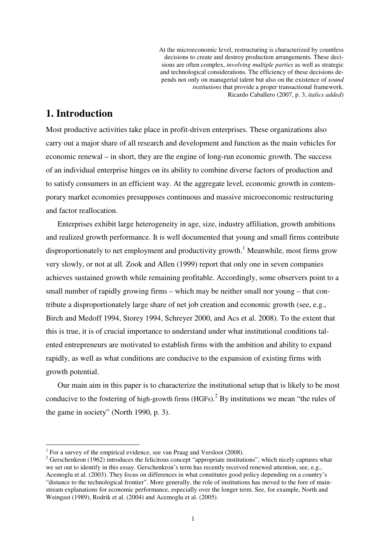At the microeconomic level, restructuring is characterized by countless decisions to create and destroy production arrangements. These decisions are often complex, *involving multiple parties* as well as strategic and technological considerations. The efficiency of these decisions depends not only on managerial talent but also on the existence of *sound institutions* that provide a proper transactional framework. Ricardo Caballero (2007, p. 3, *italics added*)

# **1. Introduction**

 $\overline{a}$ 

Most productive activities take place in profit-driven enterprises. These organizations also carry out a major share of all research and development and function as the main vehicles for economic renewal – in short, they are the engine of long-run economic growth. The success of an individual enterprise hinges on its ability to combine diverse factors of production and to satisfy consumers in an efficient way. At the aggregate level, economic growth in contemporary market economies presupposes continuous and massive microeconomic restructuring and factor reallocation.

Enterprises exhibit large heterogeneity in age, size, industry affiliation, growth ambitions and realized growth performance. It is well documented that young and small firms contribute disproportionately to net employment and productivity growth.<sup>1</sup> Meanwhile, most firms grow very slowly, or not at all. Zook and Allen (1999) report that only one in seven companies achieves sustained growth while remaining profitable. Accordingly, some observers point to a small number of rapidly growing firms – which may be neither small nor young – that contribute a disproportionately large share of net job creation and economic growth (see, e.g., Birch and Medoff 1994, Storey 1994, Schreyer 2000, and Acs et al. 2008). To the extent that this is true, it is of crucial importance to understand under what institutional conditions talented entrepreneurs are motivated to establish firms with the ambition and ability to expand rapidly, as well as what conditions are conducive to the expansion of existing firms with growth potential.

Our main aim in this paper is to characterize the institutional setup that is likely to be most conducive to the fostering of high-growth firms  $(HGFs)$ .<sup>2</sup> By institutions we mean "the rules of the game in society" (North 1990, p. 3).

<sup>&</sup>lt;sup>1</sup> For a survey of the empirical evidence, see van Praag and Versloot (2008).

 $2^2$  Gerschenkron (1962) introduces the felicitous concept "appropriate institutions", which nicely captures what we set out to identify in this essay. Gerschenkron's term has recently received renewed attention, see, e.g., Acemoglu et al. (2003). They focus on differences in what constitutes good policy depending on a country's "distance to the technological frontier". More generally, the role of institutions has moved to the fore of mainstream explanations for economic performance, especially over the longer term. See, for example, North and Weingast (1989), Rodrik et al. (2004) and Acemoglu et al. (2005).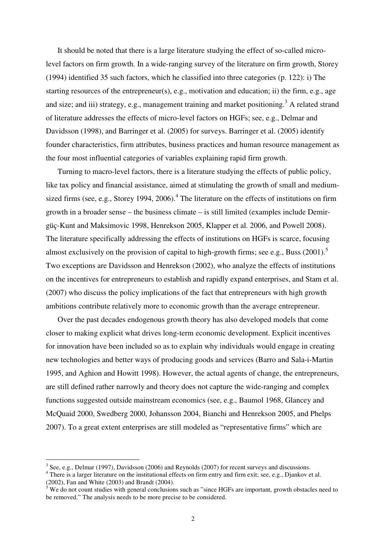It should be noted that there is a large literature studying the effect of so-called microlevel factors on firm growth. In a wide-ranging survey of the literature on firm growth, Storey (1994) identified 35 such factors, which he classified into three categories (p. 122): i) The starting resources of the entrepreneur(s), e.g., motivation and education; ii) the firm, e.g., age and size; and iii) strategy, e.g., management training and market positioning.<sup>3</sup> A related strand of literature addresses the effects of micro-level factors on HGFs; see, e.g., Delmar and Davidsson (1998), and Barringer et al. (2005) for surveys. Barringer et al. (2005) identify founder characteristics, firm attributes, business practices and human resource management as the four most influential categories of variables explaining rapid firm growth.

Turning to macro-level factors, there is a literature studying the effects of public policy, like tax policy and financial assistance, aimed at stimulating the growth of small and mediumsized firms (see, e.g., Storey 1994, 2006).<sup>4</sup> The literature on the effects of institutions on firm growth in a broader sense – the business climate – is still limited (examples include Demirgüç-Kunt and Maksimovic 1998, Henrekson 2005, Klapper et al. 2006, and Powell 2008). The literature specifically addressing the effects of institutions on HGFs is scarce, focusing almost exclusively on the provision of capital to high-growth firms; see e.g., Buss  $(2001)$ .<sup>5</sup> Two exceptions are Davidsson and Henrekson (2002), who analyze the effects of institutions on the incentives for entrepreneurs to establish and rapidly expand enterprises, and Stam et al. (2007) who discuss the policy implications of the fact that entrepreneurs with high growth ambitions contribute relatively more to economic growth than the average entrepreneur.

Over the past decades endogenous growth theory has also developed models that come closer to making explicit what drives long-term economic development. Explicit incentives for innovation have been included so as to explain why individuals would engage in creating new technologies and better ways of producing goods and services (Barro and Sala-i-Martin 1995, and Aghion and Howitt 1998). However, the actual agents of change, the entrepreneurs, are still defined rather narrowly and theory does not capture the wide-ranging and complex functions suggested outside mainstream economics (see, e.g., Baumol 1968, Glancey and McQuaid 2000, Swedberg 2000, Johansson 2004, Bianchi and Henrekson 2005, and Phelps 2007). To a great extent enterprises are still modeled as "representative firms" which are

 $3$  See, e.g., Delmar (1997), Davidsson (2006) and Reynolds (2007) for recent surveys and discussions.

<sup>&</sup>lt;sup>4</sup> There is a larger literature on the institutional effects on firm entry and firm exit; see, e.g., Djankov et al. (2002), Fan and White (2003) and Brandt (2004).

 $<sup>5</sup>$  We do not count studies with general conclusions such as "since HGFs are important, growth obstacles need to</sup> be removed." The analysis needs to be more precise to be considered.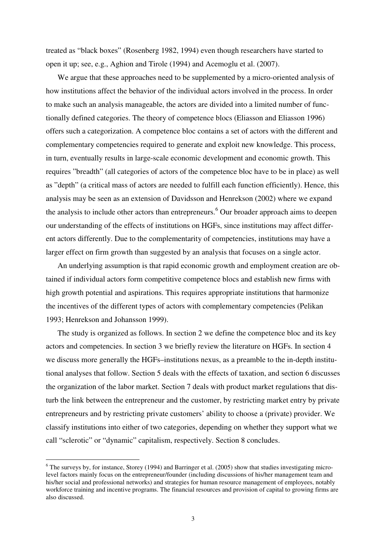treated as "black boxes" (Rosenberg 1982, 1994) even though researchers have started to open it up; see, e.g., Aghion and Tirole (1994) and Acemoglu et al. (2007).

We argue that these approaches need to be supplemented by a micro-oriented analysis of how institutions affect the behavior of the individual actors involved in the process. In order to make such an analysis manageable, the actors are divided into a limited number of functionally defined categories. The theory of competence blocs (Eliasson and Eliasson 1996) offers such a categorization. A competence bloc contains a set of actors with the different and complementary competencies required to generate and exploit new knowledge. This process, in turn, eventually results in large-scale economic development and economic growth. This requires "breadth" (all categories of actors of the competence bloc have to be in place) as well as "depth" (a critical mass of actors are needed to fulfill each function efficiently). Hence, this analysis may be seen as an extension of Davidsson and Henrekson (2002) where we expand the analysis to include other actors than entrepreneurs.<sup>6</sup> Our broader approach aims to deepen our understanding of the effects of institutions on HGFs, since institutions may affect different actors differently. Due to the complementarity of competencies, institutions may have a larger effect on firm growth than suggested by an analysis that focuses on a single actor.

An underlying assumption is that rapid economic growth and employment creation are obtained if individual actors form competitive competence blocs and establish new firms with high growth potential and aspirations. This requires appropriate institutions that harmonize the incentives of the different types of actors with complementary competencies (Pelikan 1993; Henrekson and Johansson 1999).

The study is organized as follows. In section 2 we define the competence bloc and its key actors and competencies. In section 3 we briefly review the literature on HGFs. In section 4 we discuss more generally the HGFs–institutions nexus, as a preamble to the in-depth institutional analyses that follow. Section 5 deals with the effects of taxation, and section 6 discusses the organization of the labor market. Section 7 deals with product market regulations that disturb the link between the entrepreneur and the customer, by restricting market entry by private entrepreneurs and by restricting private customers' ability to choose a (private) provider. We classify institutions into either of two categories, depending on whether they support what we call "sclerotic" or "dynamic" capitalism, respectively. Section 8 concludes.

 $6$  The surveys by, for instance, Storey (1994) and Barringer et al. (2005) show that studies investigating microlevel factors mainly focus on the entrepreneur/founder (including discussions of his/her management team and his/her social and professional networks) and strategies for human resource management of employees, notably workforce training and incentive programs. The financial resources and provision of capital to growing firms are also discussed.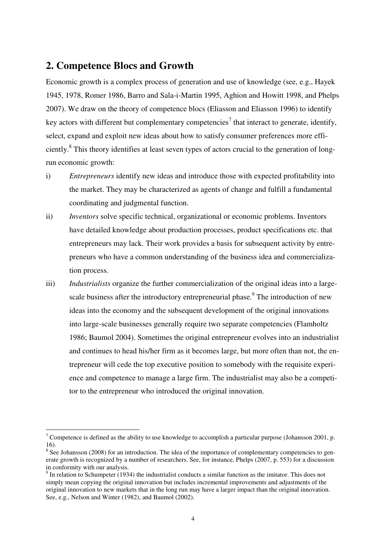# **2. Competence Blocs and Growth**

 $\overline{a}$ 

Economic growth is a complex process of generation and use of knowledge (see, e.g., Hayek 1945, 1978, Romer 1986, Barro and Sala-i-Martin 1995, Aghion and Howitt 1998, and Phelps 2007). We draw on the theory of competence blocs (Eliasson and Eliasson 1996) to identify key actors with different but complementary competencies<sup>7</sup> that interact to generate, identify, select, expand and exploit new ideas about how to satisfy consumer preferences more efficiently.<sup>8</sup> This theory identifies at least seven types of actors crucial to the generation of longrun economic growth:

- i) *Entrepreneurs* identify new ideas and introduce those with expected profitability into the market. They may be characterized as agents of change and fulfill a fundamental coordinating and judgmental function.
- ii) *Inventors* solve specific technical, organizational or economic problems. Inventors have detailed knowledge about production processes, product specifications etc. that entrepreneurs may lack. Their work provides a basis for subsequent activity by entrepreneurs who have a common understanding of the business idea and commercialization process.
- iii) *Industrialists* organize the further commercialization of the original ideas into a largescale business after the introductory entrepreneurial phase.<sup>9</sup> The introduction of new ideas into the economy and the subsequent development of the original innovations into large-scale businesses generally require two separate competencies (Flamholtz 1986; Baumol 2004). Sometimes the original entrepreneur evolves into an industrialist and continues to head his/her firm as it becomes large, but more often than not, the entrepreneur will cede the top executive position to somebody with the requisite experience and competence to manage a large firm. The industrialist may also be a competitor to the entrepreneur who introduced the original innovation.

<sup>&</sup>lt;sup>7</sup> Competence is defined as the ability to use knowledge to accomplish a particular purpose (Johansson 2001, p. 16).

<sup>&</sup>lt;sup>8</sup> See Johansson (2008) for an introduction. The idea of the importance of complementary competencies to generate growth is recognized by a number of researchers. See, for instance, Phelps (2007, p. 553) for a discussion in conformity with our analysis.

 $9$  In relation to Schumpeter (1934) the industrialist conducts a similar function as the imitator. This does not simply mean copying the original innovation but includes incremental improvements and adjustments of the original innovation to new markets that in the long run may have a larger impact than the original innovation. See, e.g., Nelson and Winter (1982), and Baumol (2002).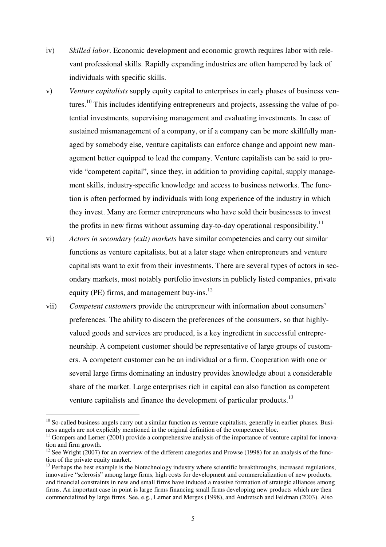- iv) *Skilled labor*. Economic development and economic growth requires labor with relevant professional skills. Rapidly expanding industries are often hampered by lack of individuals with specific skills.
- v) *Venture capitalists* supply equity capital to enterprises in early phases of business ventures.<sup>10</sup> This includes identifying entrepreneurs and projects, assessing the value of potential investments, supervising management and evaluating investments. In case of sustained mismanagement of a company, or if a company can be more skillfully managed by somebody else, venture capitalists can enforce change and appoint new management better equipped to lead the company. Venture capitalists can be said to provide "competent capital", since they, in addition to providing capital, supply management skills, industry-specific knowledge and access to business networks. The function is often performed by individuals with long experience of the industry in which they invest. Many are former entrepreneurs who have sold their businesses to invest the profits in new firms without assuming day-to-day operational responsibility.<sup>11</sup>
- vi) *Actors in secondary (exit) markets* have similar competencies and carry out similar functions as venture capitalists, but at a later stage when entrepreneurs and venture capitalists want to exit from their investments. There are several types of actors in secondary markets, most notably portfolio investors in publicly listed companies, private equity (PE) firms, and management buy-ins.<sup>12</sup>
- vii) *Competent customers* provide the entrepreneur with information about consumers' preferences. The ability to discern the preferences of the consumers, so that highlyvalued goods and services are produced, is a key ingredient in successful entrepreneurship. A competent customer should be representative of large groups of customers. A competent customer can be an individual or a firm. Cooperation with one or several large firms dominating an industry provides knowledge about a considerable share of the market. Large enterprises rich in capital can also function as competent venture capitalists and finance the development of particular products. $13$

 $10$  So-called business angels carry out a similar function as venture capitalists, generally in earlier phases. Business angels are not explicitly mentioned in the original definition of the competence bloc.

<sup>&</sup>lt;sup>11</sup> Gompers and Lerner (2001) provide a comprehensive analysis of the importance of venture capital for innovation and firm growth.

 $12$  See Wright (2007) for an overview of the different categories and Prowse (1998) for an analysis of the function of the private equity market.

 $<sup>13</sup>$  Perhaps the best example is the biotechnology industry where scientific breakthroughs, increased regulations,</sup> innovative "sclerosis" among large firms, high costs for development and commercialization of new products, and financial constraints in new and small firms have induced a massive formation of strategic alliances among firms. An important case in point is large firms financing small firms developing new products which are then commercialized by large firms. See, e.g., Lerner and Merges (1998), and Audretsch and Feldman (2003). Also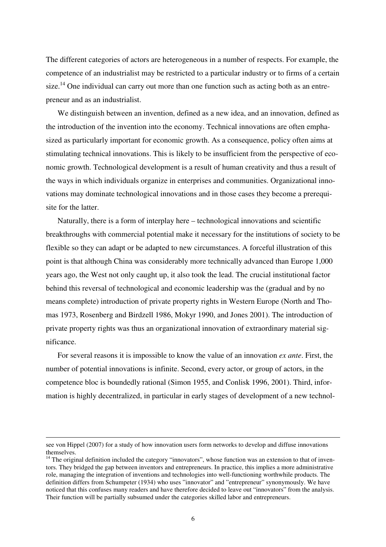The different categories of actors are heterogeneous in a number of respects. For example, the competence of an industrialist may be restricted to a particular industry or to firms of a certain size.<sup>14</sup> One individual can carry out more than one function such as acting both as an entrepreneur and as an industrialist.

We distinguish between an invention, defined as a new idea, and an innovation, defined as the introduction of the invention into the economy. Technical innovations are often emphasized as particularly important for economic growth. As a consequence, policy often aims at stimulating technical innovations. This is likely to be insufficient from the perspective of economic growth. Technological development is a result of human creativity and thus a result of the ways in which individuals organize in enterprises and communities. Organizational innovations may dominate technological innovations and in those cases they become a prerequisite for the latter.

Naturally, there is a form of interplay here – technological innovations and scientific breakthroughs with commercial potential make it necessary for the institutions of society to be flexible so they can adapt or be adapted to new circumstances. A forceful illustration of this point is that although China was considerably more technically advanced than Europe 1,000 years ago, the West not only caught up, it also took the lead. The crucial institutional factor behind this reversal of technological and economic leadership was the (gradual and by no means complete) introduction of private property rights in Western Europe (North and Thomas 1973, Rosenberg and Birdzell 1986, Mokyr 1990, and Jones 2001). The introduction of private property rights was thus an organizational innovation of extraordinary material significance.

For several reasons it is impossible to know the value of an innovation *ex ante*. First, the number of potential innovations is infinite. Second, every actor, or group of actors, in the competence bloc is boundedly rational (Simon 1955, and Conlisk 1996, 2001). Third, information is highly decentralized, in particular in early stages of development of a new technol-

1

see von Hippel (2007) for a study of how innovation users form networks to develop and diffuse innovations themselves.

 $14$  The original definition included the category "innovators", whose function was an extension to that of inventors. They bridged the gap between inventors and entrepreneurs. In practice, this implies a more administrative role, managing the integration of inventions and technologies into well-functioning worthwhile products. The definition differs from Schumpeter (1934) who uses "innovator" and "entrepreneur" synonymously. We have noticed that this confuses many readers and have therefore decided to leave out "innovators" from the analysis. Their function will be partially subsumed under the categories skilled labor and entrepreneurs.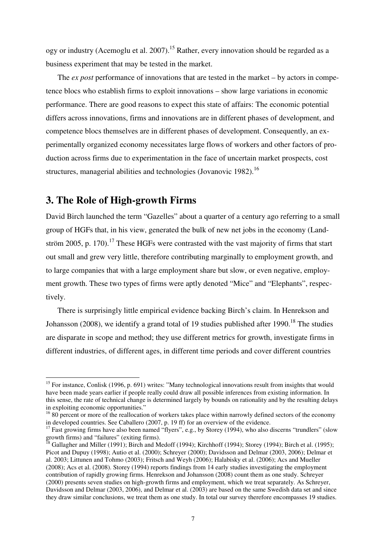ogy or industry (Acemoglu et al. 2007).<sup>15</sup> Rather, every innovation should be regarded as a business experiment that may be tested in the market.

The *ex post* performance of innovations that are tested in the market – by actors in competence blocs who establish firms to exploit innovations – show large variations in economic performance. There are good reasons to expect this state of affairs: The economic potential differs across innovations, firms and innovations are in different phases of development, and competence blocs themselves are in different phases of development. Consequently, an experimentally organized economy necessitates large flows of workers and other factors of production across firms due to experimentation in the face of uncertain market prospects, cost structures, managerial abilities and technologies (Jovanovic 1982).<sup>16</sup>

# **3. The Role of High-growth Firms**

 $\overline{a}$ 

David Birch launched the term "Gazelles" about a quarter of a century ago referring to a small group of HGFs that, in his view, generated the bulk of new net jobs in the economy (Landström 2005, p. 170).<sup>17</sup> These HGFs were contrasted with the vast majority of firms that start out small and grew very little, therefore contributing marginally to employment growth, and to large companies that with a large employment share but slow, or even negative, employment growth. These two types of firms were aptly denoted "Mice" and "Elephants", respectively.

There is surprisingly little empirical evidence backing Birch's claim. In Henrekson and Johansson (2008), we identify a grand total of 19 studies published after 1990.<sup>18</sup> The studies are disparate in scope and method; they use different metrics for growth, investigate firms in different industries, of different ages, in different time periods and cover different countries

<sup>&</sup>lt;sup>15</sup> For instance, Conlisk (1996, p. 691) writes: "Many technological innovations result from insights that would have been made years earlier if people really could draw all possible inferences from existing information. In this sense, the rate of technical change is determined largely by bounds on rationality and by the resulting delays in exploiting economic opportunities."

 $1680$  percent or more of the reallocation of workers takes place within narrowly defined sectors of the economy in developed countries. See Caballero (2007, p. 19 ff) for an overview of the evidence.

 $17$  Fast growing firms have also been named "flyers", e.g., by Storey (1994), who also discerns "trundlers" (slow growth firms) and "failures" (exiting firms).

 $\frac{18}{18}$  Gallagher and Miller (1991); Birch and Medoff (1994); Kirchhoff (1994); Storey (1994); Birch et al. (1995); Picot and Dupuy (1998); Autio et al. (2000); Schreyer (2000); Davidsson and Delmar (2003, 2006); Delmar et al. 2003; Littunen and Tohmo (2003); Fritsch and Weyh (2006); Halabisky et al. (2006); Acs and Mueller (2008); Acs et al. (2008). Storey (1994) reports findings from 14 early studies investigating the employment contribution of rapidly growing firms. Henrekson and Johansson (2008) count them as one study. Schreyer (2000) presents seven studies on high-growth firms and employment, which we treat separately. As Schreyer, Davidsson and Delmar (2003, 2006), and Delmar et al. (2003) are based on the same Swedish data set and since they draw similar conclusions, we treat them as one study. In total our survey therefore encompasses 19 studies.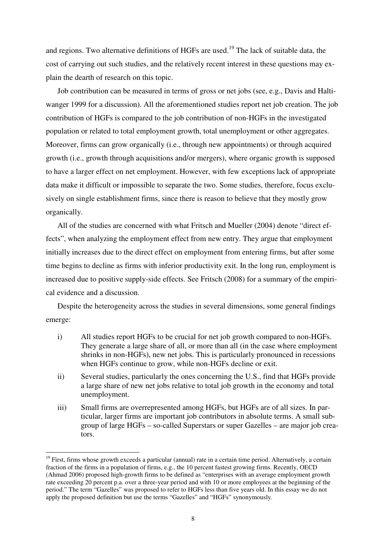and regions. Two alternative definitions of HGFs are used.<sup>19</sup> The lack of suitable data, the cost of carrying out such studies, and the relatively recent interest in these questions may explain the dearth of research on this topic.

Job contribution can be measured in terms of gross or net jobs (see, e.g., Davis and Haltiwanger 1999 for a discussion). All the aforementioned studies report net job creation. The job contribution of HGFs is compared to the job contribution of non-HGFs in the investigated population or related to total employment growth, total unemployment or other aggregates. Moreover, firms can grow organically (i.e., through new appointments) or through acquired growth (i.e., growth through acquisitions and/or mergers), where organic growth is supposed to have a larger effect on net employment. However, with few exceptions lack of appropriate data make it difficult or impossible to separate the two. Some studies, therefore, focus exclusively on single establishment firms, since there is reason to believe that they mostly grow organically.

All of the studies are concerned with what Fritsch and Mueller (2004) denote "direct effects", when analyzing the employment effect from new entry. They argue that employment initially increases due to the direct effect on employment from entering firms, but after some time begins to decline as firms with inferior productivity exit. In the long run, employment is increased due to positive supply-side effects. See Fritsch (2008) for a summary of the empirical evidence and a discussion.

Despite the heterogeneity across the studies in several dimensions, some general findings emerge:

- i) All studies report HGFs to be crucial for net job growth compared to non-HGFs. They generate a large share of all, or more than all (in the case where employment shrinks in non-HGFs), new net jobs. This is particularly pronounced in recessions when HGFs continue to grow, while non-HGFs decline or exit.
- ii) Several studies, particularly the ones concerning the U.S., find that HGFs provide a large share of new net jobs relative to total job growth in the economy and total unemployment.
- iii) Small firms are overrepresented among HGFs, but HGFs are of all sizes. In particular, larger firms are important job contributors in absolute terms. A small subgroup of large HGFs – so-called Superstars or super Gazelles – are major job creators.

 $19$  First, firms whose growth exceeds a particular (annual) rate in a certain time period. Alternatively, a certain fraction of the firms in a population of firms, e.g., the 10 percent fastest growing firms. Recently, OECD (Ahmad 2006) proposed high-growth firms to be defined as "enterprises with an average employment growth rate exceeding 20 percent p.a. over a three-year period and with 10 or more employees at the beginning of the period." The term "Gazelles" was proposed to refer to HGFs less than five years old. In this essay we do not apply the proposed definition but use the terms "Gazelles" and "HGFs" synonymously.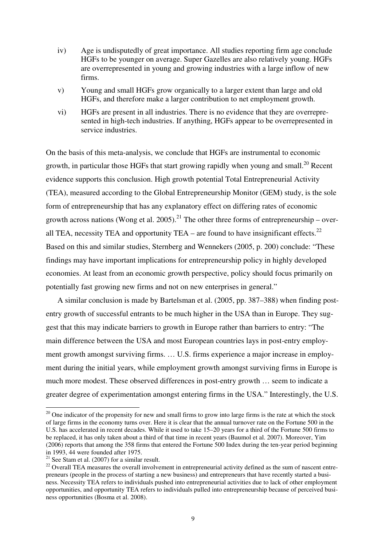- iv) Age is undisputedly of great importance. All studies reporting firm age conclude HGFs to be younger on average. Super Gazelles are also relatively young. HGFs are overrepresented in young and growing industries with a large inflow of new firms.
- v) Young and small HGFs grow organically to a larger extent than large and old HGFs, and therefore make a larger contribution to net employment growth.
- vi) HGFs are present in all industries. There is no evidence that they are overrepresented in high-tech industries. If anything, HGFs appear to be overrepresented in service industries.

On the basis of this meta-analysis, we conclude that HGFs are instrumental to economic growth, in particular those HGFs that start growing rapidly when young and small.<sup>20</sup> Recent evidence supports this conclusion. High growth potential Total Entrepreneurial Activity (TEA), measured according to the Global Entrepreneurship Monitor (GEM) study, is the sole form of entrepreneurship that has any explanatory effect on differing rates of economic growth across nations (Wong et al. 2005).<sup>21</sup> The other three forms of entrepreneurship – overall TEA, necessity TEA and opportunity TEA – are found to have insignificant effects.<sup>22</sup> Based on this and similar studies, Sternberg and Wennekers (2005, p. 200) conclude: "These findings may have important implications for entrepreneurship policy in highly developed economies. At least from an economic growth perspective, policy should focus primarily on potentially fast growing new firms and not on new enterprises in general."

A similar conclusion is made by Bartelsman et al. (2005, pp. 387–388) when finding postentry growth of successful entrants to be much higher in the USA than in Europe. They suggest that this may indicate barriers to growth in Europe rather than barriers to entry: "The main difference between the USA and most European countries lays in post-entry employment growth amongst surviving firms. … U.S. firms experience a major increase in employment during the initial years, while employment growth amongst surviving firms in Europe is much more modest. These observed differences in post-entry growth … seem to indicate a greater degree of experimentation amongst entering firms in the USA." Interestingly, the U.S.

 $20$  One indicator of the propensity for new and small firms to grow into large firms is the rate at which the stock of large firms in the economy turns over. Here it is clear that the annual turnover rate on the Fortune 500 in the U.S. has accelerated in recent decades. While it used to take 15–20 years for a third of the Fortune 500 firms to be replaced, it has only taken about a third of that time in recent years (Baumol et al. 2007). Moreover, Yim (2006) reports that among the 358 firms that entered the Fortune 500 Index during the ten-year period beginning in 1993, 44 were founded after 1975.

 $21$  See Stam et al. (2007) for a similar result.

<sup>&</sup>lt;sup>22</sup> Overall TEA measures the overall involvement in entrepreneurial activity defined as the sum of nascent entrepreneurs (people in the process of starting a new business) and entrepreneurs that have recently started a business. Necessity TEA refers to individuals pushed into entrepreneurial activities due to lack of other employment opportunities, and opportunity TEA refers to individuals pulled into entrepreneurship because of perceived business opportunities (Bosma et al. 2008).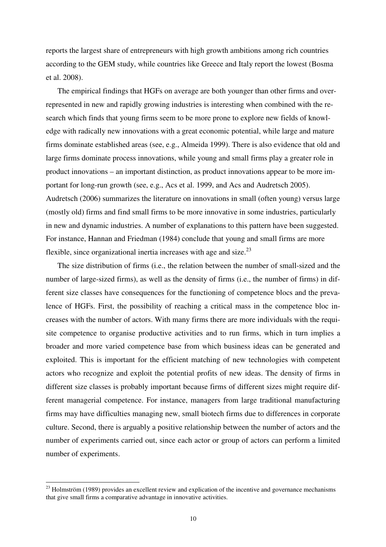reports the largest share of entrepreneurs with high growth ambitions among rich countries according to the GEM study, while countries like Greece and Italy report the lowest (Bosma et al. 2008).

The empirical findings that HGFs on average are both younger than other firms and overrepresented in new and rapidly growing industries is interesting when combined with the research which finds that young firms seem to be more prone to explore new fields of knowledge with radically new innovations with a great economic potential, while large and mature firms dominate established areas (see, e.g., Almeida 1999). There is also evidence that old and large firms dominate process innovations, while young and small firms play a greater role in product innovations – an important distinction, as product innovations appear to be more important for long-run growth (see, e.g., Acs et al. 1999, and Acs and Audretsch 2005). Audretsch (2006) summarizes the literature on innovations in small (often young) versus large (mostly old) firms and find small firms to be more innovative in some industries, particularly in new and dynamic industries. A number of explanations to this pattern have been suggested. For instance, Hannan and Friedman (1984) conclude that young and small firms are more flexible, since organizational inertia increases with age and size. $^{23}$ 

The size distribution of firms (i.e., the relation between the number of small-sized and the number of large-sized firms), as well as the density of firms (i.e., the number of firms) in different size classes have consequences for the functioning of competence blocs and the prevalence of HGFs. First, the possibility of reaching a critical mass in the competence bloc increases with the number of actors. With many firms there are more individuals with the requisite competence to organise productive activities and to run firms, which in turn implies a broader and more varied competence base from which business ideas can be generated and exploited. This is important for the efficient matching of new technologies with competent actors who recognize and exploit the potential profits of new ideas. The density of firms in different size classes is probably important because firms of different sizes might require different managerial competence. For instance, managers from large traditional manufacturing firms may have difficulties managing new, small biotech firms due to differences in corporate culture. Second, there is arguably a positive relationship between the number of actors and the number of experiments carried out, since each actor or group of actors can perform a limited number of experiments.

 $^{23}$  Holmström (1989) provides an excellent review and explication of the incentive and governance mechanisms that give small firms a comparative advantage in innovative activities.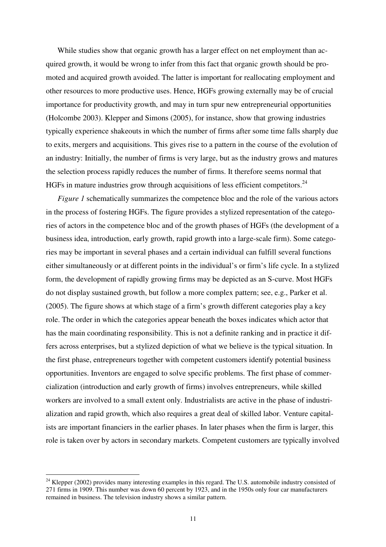While studies show that organic growth has a larger effect on net employment than acquired growth, it would be wrong to infer from this fact that organic growth should be promoted and acquired growth avoided. The latter is important for reallocating employment and other resources to more productive uses. Hence, HGFs growing externally may be of crucial importance for productivity growth, and may in turn spur new entrepreneurial opportunities (Holcombe 2003). Klepper and Simons (2005), for instance, show that growing industries typically experience shakeouts in which the number of firms after some time falls sharply due to exits, mergers and acquisitions. This gives rise to a pattern in the course of the evolution of an industry: Initially, the number of firms is very large, but as the industry grows and matures the selection process rapidly reduces the number of firms. It therefore seems normal that HGFs in mature industries grow through acquisitions of less efficient competitors.<sup>24</sup>

*Figure 1* schematically summarizes the competence bloc and the role of the various actors in the process of fostering HGFs. The figure provides a stylized representation of the categories of actors in the competence bloc and of the growth phases of HGFs (the development of a business idea, introduction, early growth, rapid growth into a large-scale firm). Some categories may be important in several phases and a certain individual can fulfill several functions either simultaneously or at different points in the individual's or firm's life cycle. In a stylized form, the development of rapidly growing firms may be depicted as an S-curve. Most HGFs do not display sustained growth, but follow a more complex pattern; see, e.g., Parker et al. (2005). The figure shows at which stage of a firm's growth different categories play a key role. The order in which the categories appear beneath the boxes indicates which actor that has the main coordinating responsibility. This is not a definite ranking and in practice it differs across enterprises, but a stylized depiction of what we believe is the typical situation. In the first phase, entrepreneurs together with competent customers identify potential business opportunities. Inventors are engaged to solve specific problems. The first phase of commercialization (introduction and early growth of firms) involves entrepreneurs, while skilled workers are involved to a small extent only. Industrialists are active in the phase of industrialization and rapid growth, which also requires a great deal of skilled labor. Venture capitalists are important financiers in the earlier phases. In later phases when the firm is larger, this role is taken over by actors in secondary markets. Competent customers are typically involved

<sup>&</sup>lt;sup>24</sup> Klepper (2002) provides many interesting examples in this regard. The U.S. automobile industry consisted of 271 firms in 1909. This number was down 60 percent by 1923, and in the 1950s only four car manufacturers remained in business. The television industry shows a similar pattern.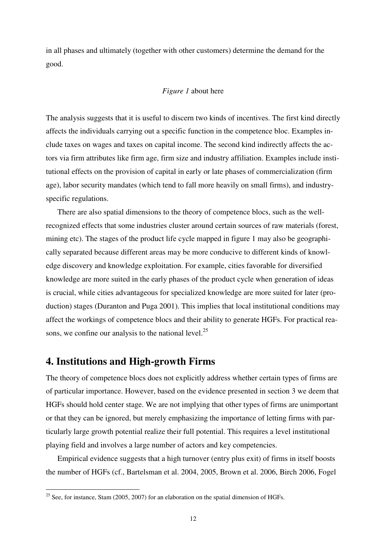in all phases and ultimately (together with other customers) determine the demand for the good.

#### *Figure 1* about here

The analysis suggests that it is useful to discern two kinds of incentives. The first kind directly affects the individuals carrying out a specific function in the competence bloc. Examples include taxes on wages and taxes on capital income. The second kind indirectly affects the actors via firm attributes like firm age, firm size and industry affiliation. Examples include institutional effects on the provision of capital in early or late phases of commercialization (firm age), labor security mandates (which tend to fall more heavily on small firms), and industryspecific regulations.

There are also spatial dimensions to the theory of competence blocs, such as the wellrecognized effects that some industries cluster around certain sources of raw materials (forest, mining etc). The stages of the product life cycle mapped in figure 1 may also be geographically separated because different areas may be more conducive to different kinds of knowledge discovery and knowledge exploitation. For example, cities favorable for diversified knowledge are more suited in the early phases of the product cycle when generation of ideas is crucial, while cities advantageous for specialized knowledge are more suited for later (production) stages (Duranton and Puga 2001). This implies that local institutional conditions may affect the workings of competence blocs and their ability to generate HGFs. For practical reasons, we confine our analysis to the national level. $^{25}$ 

# **4. Institutions and High-growth Firms**

 $\overline{a}$ 

The theory of competence blocs does not explicitly address whether certain types of firms are of particular importance. However, based on the evidence presented in section 3 we deem that HGFs should hold center stage. We are not implying that other types of firms are unimportant or that they can be ignored, but merely emphasizing the importance of letting firms with particularly large growth potential realize their full potential. This requires a level institutional playing field and involves a large number of actors and key competencies.

Empirical evidence suggests that a high turnover (entry plus exit) of firms in itself boosts the number of HGFs (cf., Bartelsman et al. 2004, 2005, Brown et al. 2006, Birch 2006, Fogel

<sup>&</sup>lt;sup>25</sup> See, for instance, Stam (2005, 2007) for an elaboration on the spatial dimension of HGFs.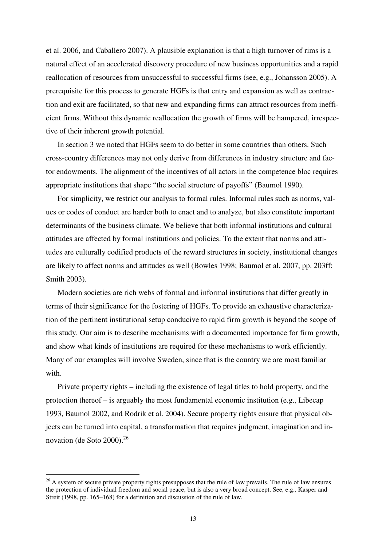et al. 2006, and Caballero 2007). A plausible explanation is that a high turnover of rims is a natural effect of an accelerated discovery procedure of new business opportunities and a rapid reallocation of resources from unsuccessful to successful firms (see, e.g., Johansson 2005). A prerequisite for this process to generate HGFs is that entry and expansion as well as contraction and exit are facilitated, so that new and expanding firms can attract resources from inefficient firms. Without this dynamic reallocation the growth of firms will be hampered, irrespective of their inherent growth potential.

In section 3 we noted that HGFs seem to do better in some countries than others. Such cross-country differences may not only derive from differences in industry structure and factor endowments. The alignment of the incentives of all actors in the competence bloc requires appropriate institutions that shape "the social structure of payoffs" (Baumol 1990).

For simplicity, we restrict our analysis to formal rules. Informal rules such as norms, values or codes of conduct are harder both to enact and to analyze, but also constitute important determinants of the business climate. We believe that both informal institutions and cultural attitudes are affected by formal institutions and policies. To the extent that norms and attitudes are culturally codified products of the reward structures in society, institutional changes are likely to affect norms and attitudes as well (Bowles 1998; Baumol et al. 2007, pp. 203ff; Smith 2003).

Modern societies are rich webs of formal and informal institutions that differ greatly in terms of their significance for the fostering of HGFs. To provide an exhaustive characterization of the pertinent institutional setup conducive to rapid firm growth is beyond the scope of this study. Our aim is to describe mechanisms with a documented importance for firm growth, and show what kinds of institutions are required for these mechanisms to work efficiently. Many of our examples will involve Sweden, since that is the country we are most familiar with.

Private property rights – including the existence of legal titles to hold property, and the protection thereof – is arguably the most fundamental economic institution (e.g., Libecap 1993, Baumol 2002, and Rodrik et al. 2004). Secure property rights ensure that physical objects can be turned into capital, a transformation that requires judgment, imagination and innovation (de Soto 2000).<sup>26</sup>

<sup>&</sup>lt;sup>26</sup> A system of secure private property rights presupposes that the rule of law prevails. The rule of law ensures the protection of individual freedom and social peace, but is also a very broad concept. See, e.g., Kasper and Streit (1998, pp. 165–168) for a definition and discussion of the rule of law.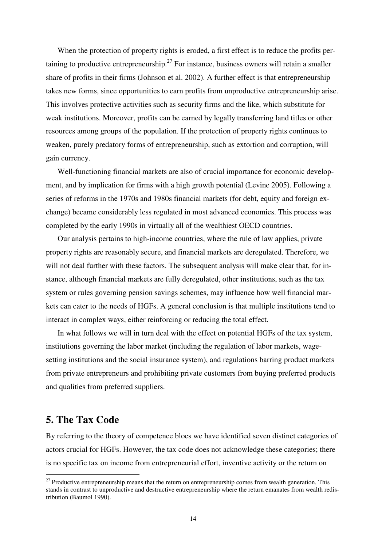When the protection of property rights is eroded, a first effect is to reduce the profits pertaining to productive entrepreneurship.<sup>27</sup> For instance, business owners will retain a smaller share of profits in their firms (Johnson et al. 2002). A further effect is that entrepreneurship takes new forms, since opportunities to earn profits from unproductive entrepreneurship arise. This involves protective activities such as security firms and the like, which substitute for weak institutions. Moreover, profits can be earned by legally transferring land titles or other resources among groups of the population. If the protection of property rights continues to weaken, purely predatory forms of entrepreneurship, such as extortion and corruption, will gain currency.

Well-functioning financial markets are also of crucial importance for economic development, and by implication for firms with a high growth potential (Levine 2005). Following a series of reforms in the 1970s and 1980s financial markets (for debt, equity and foreign exchange) became considerably less regulated in most advanced economies. This process was completed by the early 1990s in virtually all of the wealthiest OECD countries.

Our analysis pertains to high-income countries, where the rule of law applies, private property rights are reasonably secure, and financial markets are deregulated. Therefore, we will not deal further with these factors. The subsequent analysis will make clear that, for instance, although financial markets are fully deregulated, other institutions, such as the tax system or rules governing pension savings schemes, may influence how well financial markets can cater to the needs of HGFs. A general conclusion is that multiple institutions tend to interact in complex ways, either reinforcing or reducing the total effect.

In what follows we will in turn deal with the effect on potential HGFs of the tax system, institutions governing the labor market (including the regulation of labor markets, wagesetting institutions and the social insurance system), and regulations barring product markets from private entrepreneurs and prohibiting private customers from buying preferred products and qualities from preferred suppliers.

# **5. The Tax Code**

 $\overline{a}$ 

By referring to the theory of competence blocs we have identified seven distinct categories of actors crucial for HGFs. However, the tax code does not acknowledge these categories; there is no specific tax on income from entrepreneurial effort, inventive activity or the return on

 $27$  Productive entrepreneurship means that the return on entrepreneurship comes from wealth generation. This stands in contrast to unproductive and destructive entrepreneurship where the return emanates from wealth redistribution (Baumol 1990).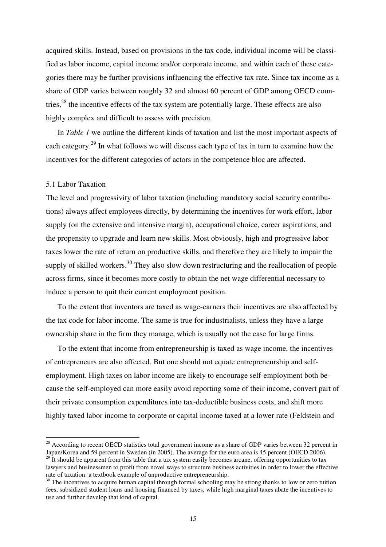acquired skills. Instead, based on provisions in the tax code, individual income will be classified as labor income, capital income and/or corporate income, and within each of these categories there may be further provisions influencing the effective tax rate. Since tax income as a share of GDP varies between roughly 32 and almost 60 percent of GDP among OECD countries, $^{28}$  the incentive effects of the tax system are potentially large. These effects are also highly complex and difficult to assess with precision.

In *Table 1* we outline the different kinds of taxation and list the most important aspects of each category.<sup>29</sup> In what follows we will discuss each type of tax in turn to examine how the incentives for the different categories of actors in the competence bloc are affected.

#### 5.1 Labor Taxation

 $\overline{a}$ 

The level and progressivity of labor taxation (including mandatory social security contributions) always affect employees directly, by determining the incentives for work effort, labor supply (on the extensive and intensive margin), occupational choice, career aspirations, and the propensity to upgrade and learn new skills. Most obviously, high and progressive labor taxes lower the rate of return on productive skills, and therefore they are likely to impair the supply of skilled workers.<sup>30</sup> They also slow down restructuring and the reallocation of people across firms, since it becomes more costly to obtain the net wage differential necessary to induce a person to quit their current employment position.

To the extent that inventors are taxed as wage-earners their incentives are also affected by the tax code for labor income. The same is true for industrialists, unless they have a large ownership share in the firm they manage, which is usually not the case for large firms.

To the extent that income from entrepreneurship is taxed as wage income, the incentives of entrepreneurs are also affected. But one should not equate entrepreneurship and selfemployment. High taxes on labor income are likely to encourage self-employment both because the self-employed can more easily avoid reporting some of their income, convert part of their private consumption expenditures into tax-deductible business costs, and shift more highly taxed labor income to corporate or capital income taxed at a lower rate (Feldstein and

<sup>&</sup>lt;sup>28</sup> According to recent OECD statistics total government income as a share of GDP varies between 32 percent in Japan/Korea and 59 percent in Sweden (in 2005). The average for the euro area is 45 percent (OECD 2006). <sup>29</sup> It should be apparent from this table that a tax system easily becomes arcane, offering opportunities to tax

lawyers and businessmen to profit from novel ways to structure business activities in order to lower the effective rate of taxation: a textbook example of unproductive entrepreneurship.

<sup>&</sup>lt;sup>30</sup> The incentives to acquire human capital through formal schooling may be strong thanks to low or zero tuition fees, subsidized student loans and housing financed by taxes, while high marginal taxes abate the incentives to use and further develop that kind of capital.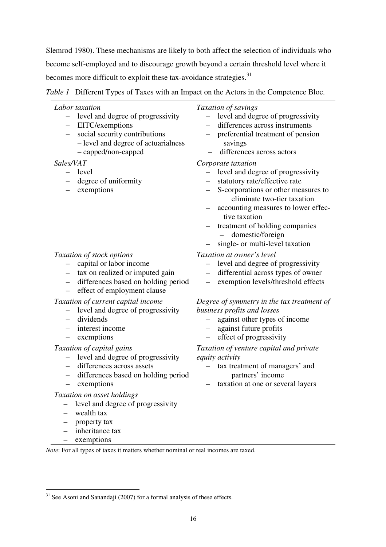Slemrod 1980). These mechanisms are likely to both affect the selection of individuals who become self-employed and to discourage growth beyond a certain threshold level where it becomes more difficult to exploit these tax-avoidance strategies. $31$ 

# *Table 1* Different Types of Taxes with an Impact on the Actors in the Competence Bloc.

#### *Labor taxation*

- level and degree of progressivity
- EITC/exemptions
- social security contributions
	- level and degree of actuarialness – capped/non-capped

# *Sales/VAT*

- level
- degree of uniformity
- exemptions

# *Taxation of stock options*

- capital or labor income
- tax on realized or imputed gain
- differences based on holding period
- effect of employment clause

#### *Taxation of current capital income*

- level and degree of progressivity
- dividends
- interest income
- exemptions

# *Taxation of capital gains*

- level and degree of progressivity
- differences across assets
- differences based on holding period
- exemptions

# *Taxation on asset holdings*

- level and degree of progressivity
- wealth tax
- property tax
- inheritance tax
- exemptions

*Taxation of savings* 

- level and degree of progressivity
- differences across instruments
- preferential treatment of pension savings
- differences across actors

# *Corporate taxation*

- level and degree of progressivity
- statutory rate/effective rate
- S-corporations or other measures to eliminate two-tier taxation
- accounting measures to lower effective taxation
- treatment of holding companies – domestic/foreign
- single- or multi-level taxation

# *Taxation at owner's level*

- level and degree of progressivity
- differential across types of owner
- exemption levels/threshold effects

*Degree of symmetry in the tax treatment of business profits and losses* 

- against other types of income
- against future profits
- effect of progressivity

*Taxation of venture capital and private equity activity* 

- tax treatment of managers' and partners' income
- taxation at one or several layers

*Note*: For all types of taxes it matters whether nominal or real incomes are taxed.

 $\overline{a}$  $31$  See Asoni and Sanandaji (2007) for a formal analysis of these effects.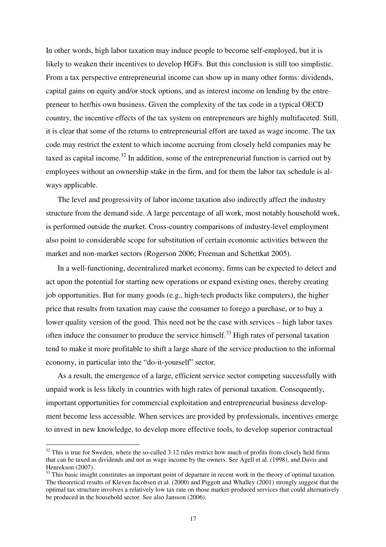In other words, high labor taxation may induce people to become self-employed, but it is likely to weaken their incentives to develop HGFs. But this conclusion is still too simplistic. From a tax perspective entrepreneurial income can show up in many other forms: dividends, capital gains on equity and/or stock options, and as interest income on lending by the entrepreneur to her/his own business. Given the complexity of the tax code in a typical OECD country, the incentive effects of the tax system on entrepreneurs are highly multifaceted. Still, it is clear that some of the returns to entrepreneurial effort are taxed as wage income. The tax code may restrict the extent to which income accruing from closely held companies may be taxed as capital income.<sup>32</sup> In addition, some of the entrepreneurial function is carried out by employees without an ownership stake in the firm, and for them the labor tax schedule is always applicable.

The level and progressivity of labor income taxation also indirectly affect the industry structure from the demand side. A large percentage of all work, most notably household work, is performed outside the market. Cross-country comparisons of industry-level employment also point to considerable scope for substitution of certain economic activities between the market and non-market sectors (Rogerson 2006; Freeman and Schettkat 2005).

In a well-functioning, decentralized market economy, firms can be expected to detect and act upon the potential for starting new operations or expand existing ones, thereby creating job opportunities. But for many goods (e.g., high-tech products like computers), the higher price that results from taxation may cause the consumer to forego a purchase, or to buy a lower quality version of the good. This need not be the case with services – high labor taxes often induce the consumer to produce the service himself.<sup>33</sup> High rates of personal taxation tend to make it more profitable to shift a large share of the service production to the informal economy, in particular into the "do-it-yourself" sector.

As a result, the emergence of a large, efficient service sector competing successfully with unpaid work is less likely in countries with high rates of personal taxation. Consequently, important opportunities for commercial exploitation and entrepreneurial business development become less accessible. When services are provided by professionals, incentives emerge to invest in new knowledge, to develop more effective tools, to develop superior contractual

 $32$  This is true for Sweden, where the so-called 3:12 rules restrict how much of profits from closely held firms that can be taxed as dividends and not as wage income by the owners. See Agell et al. (1998), and Davis and Henrekson (2007).

<sup>&</sup>lt;sup>33</sup> This basic insight constitutes an important point of departure in recent work in the theory of optimal taxation. The theoretical results of Kleven Jacobsen et al. (2000) and Piggott and Whalley (2001) strongly suggest that the optimal tax structure involves a relatively low tax rate on those market-produced services that could alternatively be produced in the household sector. See also Jansson (2006).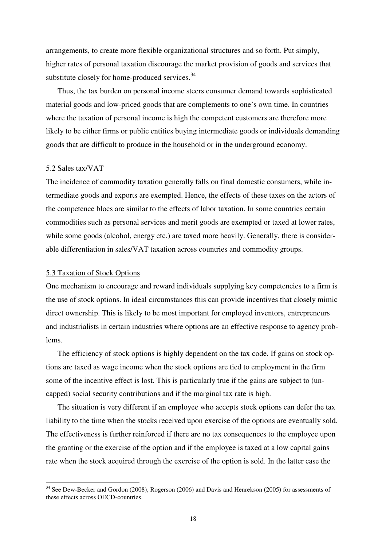arrangements, to create more flexible organizational structures and so forth. Put simply, higher rates of personal taxation discourage the market provision of goods and services that substitute closely for home-produced services. $34$ 

Thus, the tax burden on personal income steers consumer demand towards sophisticated material goods and low-priced goods that are complements to one's own time. In countries where the taxation of personal income is high the competent customers are therefore more likely to be either firms or public entities buying intermediate goods or individuals demanding goods that are difficult to produce in the household or in the underground economy.

#### 5.2 Sales tax/VAT

The incidence of commodity taxation generally falls on final domestic consumers, while intermediate goods and exports are exempted. Hence, the effects of these taxes on the actors of the competence blocs are similar to the effects of labor taxation. In some countries certain commodities such as personal services and merit goods are exempted or taxed at lower rates, while some goods (alcohol, energy etc.) are taxed more heavily. Generally, there is considerable differentiation in sales/VAT taxation across countries and commodity groups.

#### 5.3 Taxation of Stock Options

 $\overline{a}$ 

One mechanism to encourage and reward individuals supplying key competencies to a firm is the use of stock options. In ideal circumstances this can provide incentives that closely mimic direct ownership. This is likely to be most important for employed inventors, entrepreneurs and industrialists in certain industries where options are an effective response to agency problems.

The efficiency of stock options is highly dependent on the tax code. If gains on stock options are taxed as wage income when the stock options are tied to employment in the firm some of the incentive effect is lost. This is particularly true if the gains are subject to (uncapped) social security contributions and if the marginal tax rate is high.

The situation is very different if an employee who accepts stock options can defer the tax liability to the time when the stocks received upon exercise of the options are eventually sold. The effectiveness is further reinforced if there are no tax consequences to the employee upon the granting or the exercise of the option and if the employee is taxed at a low capital gains rate when the stock acquired through the exercise of the option is sold. In the latter case the

<sup>&</sup>lt;sup>34</sup> See Dew-Becker and Gordon (2008), Rogerson (2006) and Davis and Henrekson (2005) for assessments of these effects across OECD-countries.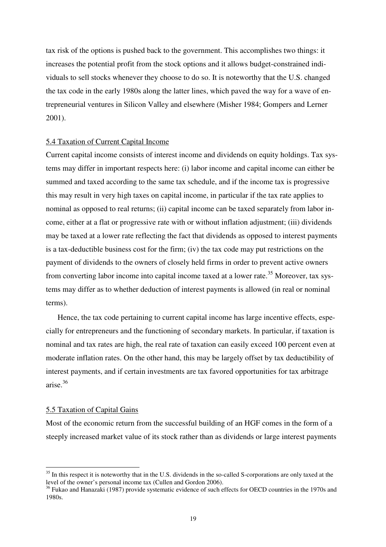tax risk of the options is pushed back to the government. This accomplishes two things: it increases the potential profit from the stock options and it allows budget-constrained individuals to sell stocks whenever they choose to do so. It is noteworthy that the U.S. changed the tax code in the early 1980s along the latter lines, which paved the way for a wave of entrepreneurial ventures in Silicon Valley and elsewhere (Misher 1984; Gompers and Lerner 2001).

#### 5.4 Taxation of Current Capital Income

Current capital income consists of interest income and dividends on equity holdings. Tax systems may differ in important respects here: (i) labor income and capital income can either be summed and taxed according to the same tax schedule, and if the income tax is progressive this may result in very high taxes on capital income, in particular if the tax rate applies to nominal as opposed to real returns; (ii) capital income can be taxed separately from labor income, either at a flat or progressive rate with or without inflation adjustment; (iii) dividends may be taxed at a lower rate reflecting the fact that dividends as opposed to interest payments is a tax-deductible business cost for the firm; (iv) the tax code may put restrictions on the payment of dividends to the owners of closely held firms in order to prevent active owners from converting labor income into capital income taxed at a lower rate.<sup>35</sup> Moreover, tax systems may differ as to whether deduction of interest payments is allowed (in real or nominal terms).

Hence, the tax code pertaining to current capital income has large incentive effects, especially for entrepreneurs and the functioning of secondary markets. In particular, if taxation is nominal and tax rates are high, the real rate of taxation can easily exceed 100 percent even at moderate inflation rates. On the other hand, this may be largely offset by tax deductibility of interest payments, and if certain investments are tax favored opportunities for tax arbitrage arise.<sup>36</sup>

#### 5.5 Taxation of Capital Gains

 $\overline{a}$ 

Most of the economic return from the successful building of an HGF comes in the form of a steeply increased market value of its stock rather than as dividends or large interest payments

 $35$  In this respect it is noteworthy that in the U.S. dividends in the so-called S-corporations are only taxed at the level of the owner's personal income tax (Cullen and Gordon 2006).

<sup>&</sup>lt;sup>36</sup> Fukao and Hanazaki (1987) provide systematic evidence of such effects for OECD countries in the 1970s and 1980s.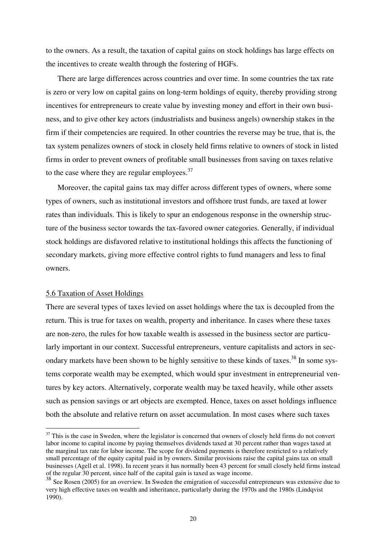to the owners. As a result, the taxation of capital gains on stock holdings has large effects on the incentives to create wealth through the fostering of HGFs.

There are large differences across countries and over time. In some countries the tax rate is zero or very low on capital gains on long-term holdings of equity, thereby providing strong incentives for entrepreneurs to create value by investing money and effort in their own business, and to give other key actors (industrialists and business angels) ownership stakes in the firm if their competencies are required. In other countries the reverse may be true, that is, the tax system penalizes owners of stock in closely held firms relative to owners of stock in listed firms in order to prevent owners of profitable small businesses from saving on taxes relative to the case where they are regular employees. $37$ 

Moreover, the capital gains tax may differ across different types of owners, where some types of owners, such as institutional investors and offshore trust funds, are taxed at lower rates than individuals. This is likely to spur an endogenous response in the ownership structure of the business sector towards the tax-favored owner categories. Generally, if individual stock holdings are disfavored relative to institutional holdings this affects the functioning of secondary markets, giving more effective control rights to fund managers and less to final owners.

#### 5.6 Taxation of Asset Holdings

 $\overline{a}$ 

There are several types of taxes levied on asset holdings where the tax is decoupled from the return. This is true for taxes on wealth, property and inheritance. In cases where these taxes are non-zero, the rules for how taxable wealth is assessed in the business sector are particularly important in our context. Successful entrepreneurs, venture capitalists and actors in secondary markets have been shown to be highly sensitive to these kinds of taxes.<sup>38</sup> In some systems corporate wealth may be exempted, which would spur investment in entrepreneurial ventures by key actors. Alternatively, corporate wealth may be taxed heavily, while other assets such as pension savings or art objects are exempted. Hence, taxes on asset holdings influence both the absolute and relative return on asset accumulation. In most cases where such taxes

 $37$  This is the case in Sweden, where the legislator is concerned that owners of closely held firms do not convert labor income to capital income by paying themselves dividends taxed at 30 percent rather than wages taxed at the marginal tax rate for labor income. The scope for dividend payments is therefore restricted to a relatively small percentage of the equity capital paid in by owners. Similar provisions raise the capital gains tax on small businesses (Agell et al. 1998). In recent years it has normally been 43 percent for small closely held firms instead of the regular 30 percent, since half of the capital gain is taxed as wage income.

<sup>&</sup>lt;sup>38</sup> See Rosen (2005) for an overview. In Sweden the emigration of successful entrepreneurs was extensive due to very high effective taxes on wealth and inheritance, particularly during the 1970s and the 1980s (Lindqvist 1990).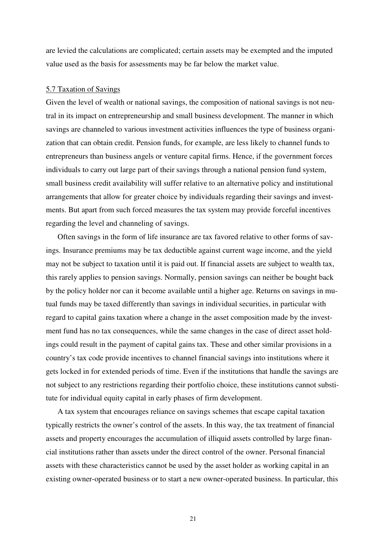are levied the calculations are complicated; certain assets may be exempted and the imputed value used as the basis for assessments may be far below the market value.

#### 5.7 Taxation of Savings

Given the level of wealth or national savings, the composition of national savings is not neutral in its impact on entrepreneurship and small business development. The manner in which savings are channeled to various investment activities influences the type of business organization that can obtain credit. Pension funds, for example, are less likely to channel funds to entrepreneurs than business angels or venture capital firms. Hence, if the government forces individuals to carry out large part of their savings through a national pension fund system, small business credit availability will suffer relative to an alternative policy and institutional arrangements that allow for greater choice by individuals regarding their savings and investments. But apart from such forced measures the tax system may provide forceful incentives regarding the level and channeling of savings.

Often savings in the form of life insurance are tax favored relative to other forms of savings. Insurance premiums may be tax deductible against current wage income, and the yield may not be subject to taxation until it is paid out. If financial assets are subject to wealth tax, this rarely applies to pension savings. Normally, pension savings can neither be bought back by the policy holder nor can it become available until a higher age. Returns on savings in mutual funds may be taxed differently than savings in individual securities, in particular with regard to capital gains taxation where a change in the asset composition made by the investment fund has no tax consequences, while the same changes in the case of direct asset holdings could result in the payment of capital gains tax. These and other similar provisions in a country's tax code provide incentives to channel financial savings into institutions where it gets locked in for extended periods of time. Even if the institutions that handle the savings are not subject to any restrictions regarding their portfolio choice, these institutions cannot substitute for individual equity capital in early phases of firm development.

A tax system that encourages reliance on savings schemes that escape capital taxation typically restricts the owner's control of the assets. In this way, the tax treatment of financial assets and property encourages the accumulation of illiquid assets controlled by large financial institutions rather than assets under the direct control of the owner. Personal financial assets with these characteristics cannot be used by the asset holder as working capital in an existing owner-operated business or to start a new owner-operated business. In particular, this

21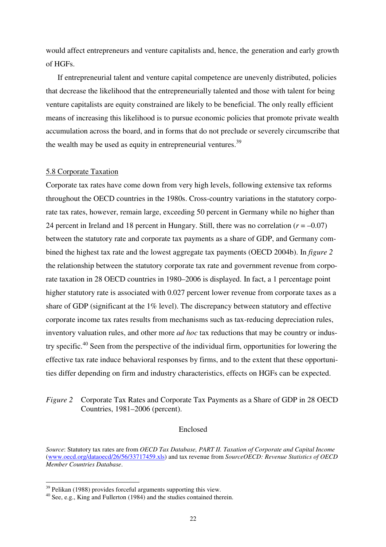would affect entrepreneurs and venture capitalists and, hence, the generation and early growth of HGFs.

If entrepreneurial talent and venture capital competence are unevenly distributed, policies that decrease the likelihood that the entrepreneurially talented and those with talent for being venture capitalists are equity constrained are likely to be beneficial. The only really efficient means of increasing this likelihood is to pursue economic policies that promote private wealth accumulation across the board, and in forms that do not preclude or severely circumscribe that the wealth may be used as equity in entrepreneurial ventures.<sup>39</sup>

#### 5.8 Corporate Taxation

Corporate tax rates have come down from very high levels, following extensive tax reforms throughout the OECD countries in the 1980s. Cross-country variations in the statutory corporate tax rates, however, remain large, exceeding 50 percent in Germany while no higher than 24 percent in Ireland and 18 percent in Hungary. Still, there was no correlation  $(r = -0.07)$ between the statutory rate and corporate tax payments as a share of GDP, and Germany combined the highest tax rate and the lowest aggregate tax payments (OECD 2004b). In *figure 2* the relationship between the statutory corporate tax rate and government revenue from corporate taxation in 28 OECD countries in 1980–2006 is displayed. In fact, a 1 percentage point higher statutory rate is associated with 0.027 percent lower revenue from corporate taxes as a share of GDP (significant at the  $1\%$  level). The discrepancy between statutory and effective corporate income tax rates results from mechanisms such as tax-reducing depreciation rules, inventory valuation rules, and other more *ad hoc* tax reductions that may be country or industry specific.<sup>40</sup> Seen from the perspective of the individual firm, opportunities for lowering the effective tax rate induce behavioral responses by firms, and to the extent that these opportunities differ depending on firm and industry characteristics, effects on HGFs can be expected.

# *Figure 2* Corporate Tax Rates and Corporate Tax Payments as a Share of GDP in 28 OECD Countries, 1981–2006 (percent).

#### Enclosed

*Source*: Statutory tax rates are from *OECD Tax Database, PART II. Taxation of Corporate and Capital Income* (www.oecd.org/dataoecd/26/56/33717459.xls) and tax revenue from *SourceOECD: Revenue Statistics of OECD Member Countries Database*.

 $39$  Pelikan (1988) provides forceful arguments supporting this view.

<sup>&</sup>lt;sup>40</sup> See, e.g., King and Fullerton (1984) and the studies contained therein.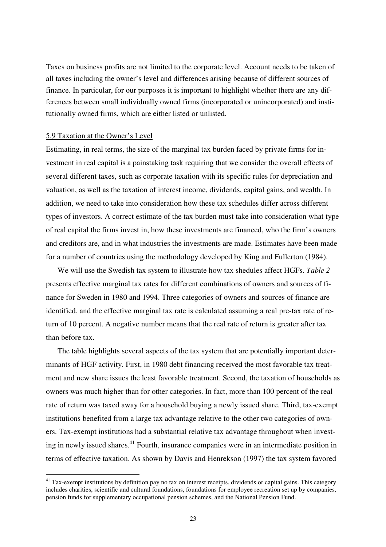Taxes on business profits are not limited to the corporate level. Account needs to be taken of all taxes including the owner's level and differences arising because of different sources of finance. In particular, for our purposes it is important to highlight whether there are any differences between small individually owned firms (incorporated or unincorporated) and institutionally owned firms, which are either listed or unlisted.

#### 5.9 Taxation at the Owner's Level

 $\overline{a}$ 

Estimating, in real terms, the size of the marginal tax burden faced by private firms for investment in real capital is a painstaking task requiring that we consider the overall effects of several different taxes, such as corporate taxation with its specific rules for depreciation and valuation, as well as the taxation of interest income, dividends, capital gains, and wealth. In addition, we need to take into consideration how these tax schedules differ across different types of investors. A correct estimate of the tax burden must take into consideration what type of real capital the firms invest in, how these investments are financed, who the firm's owners and creditors are, and in what industries the investments are made. Estimates have been made for a number of countries using the methodology developed by King and Fullerton (1984).

We will use the Swedish tax system to illustrate how tax shedules affect HGFs. *Table 2*  presents effective marginal tax rates for different combinations of owners and sources of finance for Sweden in 1980 and 1994. Three categories of owners and sources of finance are identified, and the effective marginal tax rate is calculated assuming a real pre-tax rate of return of 10 percent. A negative number means that the real rate of return is greater after tax than before tax.

The table highlights several aspects of the tax system that are potentially important determinants of HGF activity. First, in 1980 debt financing received the most favorable tax treatment and new share issues the least favorable treatment. Second, the taxation of households as owners was much higher than for other categories. In fact, more than 100 percent of the real rate of return was taxed away for a household buying a newly issued share. Third, tax-exempt institutions benefited from a large tax advantage relative to the other two categories of owners. Tax-exempt institutions had a substantial relative tax advantage throughout when investing in newly issued shares.<sup>41</sup> Fourth, insurance companies were in an intermediate position in terms of effective taxation. As shown by Davis and Henrekson (1997) the tax system favored

<sup>&</sup>lt;sup>41</sup> Tax-exempt institutions by definition pay no tax on interest receipts, dividends or capital gains. This category includes charities, scientific and cultural foundations, foundations for employee recreation set up by companies, pension funds for supplementary occupational pension schemes, and the National Pension Fund.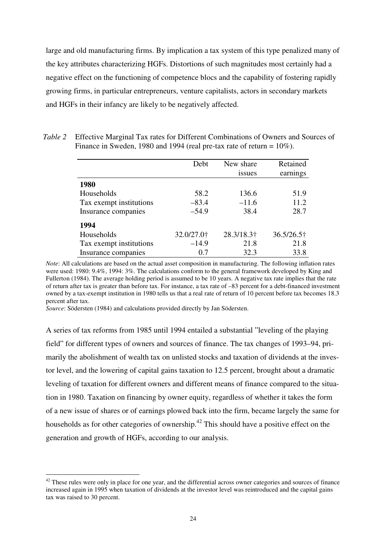large and old manufacturing firms. By implication a tax system of this type penalized many of the key attributes characterizing HGFs. Distortions of such magnitudes most certainly had a negative effect on the functioning of competence blocs and the capability of fostering rapidly growing firms, in particular entrepreneurs, venture capitalists, actors in secondary markets and HGFs in their infancy are likely to be negatively affected.

|                         | Debt       | New share  | Retained   |
|-------------------------|------------|------------|------------|
|                         |            | issues     | earnings   |
| 1980                    |            |            |            |
| Households              | 58.2       | 136.6      | 51.9       |
| Tax exempt institutions | $-83.4$    | $-11.6$    | 11.2       |
| Insurance companies     | $-54.9$    | 38.4       | 28.7       |
| 1994                    |            |            |            |
| Households              | 32.0/27.0† | 28.3/18.3† | 36.5/26.5† |
| Tax exempt institutions | $-14.9$    | 21.8       | 21.8       |
| Insurance companies     | 0.7        | 32.3       | 33.8       |

*Table 2* Effective Marginal Tax rates for Different Combinations of Owners and Sources of Finance in Sweden, 1980 and 1994 (real pre-tax rate of return =  $10\%$ ).

*Note*: All calculations are based on the actual asset composition in manufacturing. The following inflation rates were used: 1980: 9.4%, 1994: 3%. The calculations conform to the general framework developed by King and Fullerton (1984). The average holding period is assumed to be 10 years. A negative tax rate implies that the rate of return after tax is greater than before tax. For instance, a tax rate of –83 percent for a debt-financed investment owned by a tax-exempt institution in 1980 tells us that a real rate of return of 10 percent before tax becomes 18.3 percent after tax.

*Source*: Södersten (1984) and calculations provided directly by Jan Södersten.

 $\overline{a}$ 

A series of tax reforms from 1985 until 1994 entailed a substantial "leveling of the playing field" for different types of owners and sources of finance. The tax changes of 1993–94, primarily the abolishment of wealth tax on unlisted stocks and taxation of dividends at the investor level, and the lowering of capital gains taxation to 12.5 percent, brought about a dramatic leveling of taxation for different owners and different means of finance compared to the situation in 1980. Taxation on financing by owner equity, regardless of whether it takes the form of a new issue of shares or of earnings plowed back into the firm, became largely the same for households as for other categories of ownership.<sup> $42$ </sup> This should have a positive effect on the generation and growth of HGFs, according to our analysis.

 $42$  These rules were only in place for one year, and the differential across owner categories and sources of finance increased again in 1995 when taxation of dividends at the investor level was reintroduced and the capital gains tax was raised to 30 percent.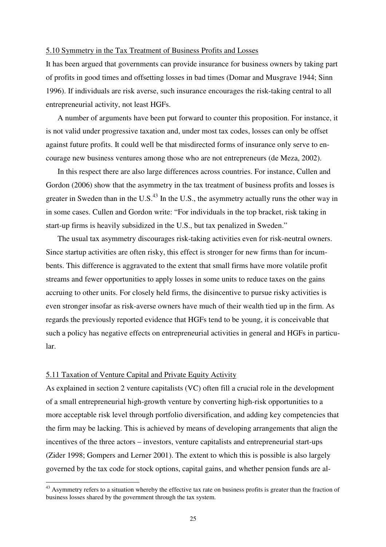#### 5.10 Symmetry in the Tax Treatment of Business Profits and Losses

It has been argued that governments can provide insurance for business owners by taking part of profits in good times and offsetting losses in bad times (Domar and Musgrave 1944; Sinn 1996). If individuals are risk averse, such insurance encourages the risk-taking central to all entrepreneurial activity, not least HGFs.

A number of arguments have been put forward to counter this proposition. For instance, it is not valid under progressive taxation and, under most tax codes, losses can only be offset against future profits. It could well be that misdirected forms of insurance only serve to encourage new business ventures among those who are not entrepreneurs (de Meza, 2002).

In this respect there are also large differences across countries. For instance, Cullen and Gordon (2006) show that the asymmetry in the tax treatment of business profits and losses is greater in Sweden than in the U.S. $^{43}$  In the U.S., the asymmetry actually runs the other way in in some cases. Cullen and Gordon write: "For individuals in the top bracket, risk taking in start-up firms is heavily subsidized in the U.S., but tax penalized in Sweden."

The usual tax asymmetry discourages risk-taking activities even for risk-neutral owners. Since startup activities are often risky, this effect is stronger for new firms than for incumbents. This difference is aggravated to the extent that small firms have more volatile profit streams and fewer opportunities to apply losses in some units to reduce taxes on the gains accruing to other units. For closely held firms, the disincentive to pursue risky activities is even stronger insofar as risk-averse owners have much of their wealth tied up in the firm. As regards the previously reported evidence that HGFs tend to be young, it is conceivable that such a policy has negative effects on entrepreneurial activities in general and HGFs in particular.

#### 5.11 Taxation of Venture Capital and Private Equity Activity

 $\overline{a}$ 

As explained in section 2 venture capitalists (VC) often fill a crucial role in the development of a small entrepreneurial high-growth venture by converting high-risk opportunities to a more acceptable risk level through portfolio diversification, and adding key competencies that the firm may be lacking. This is achieved by means of developing arrangements that align the incentives of the three actors – investors, venture capitalists and entrepreneurial start-ups (Zider 1998; Gompers and Lerner 2001). The extent to which this is possible is also largely governed by the tax code for stock options, capital gains, and whether pension funds are al-

<sup>&</sup>lt;sup>43</sup> Asymmetry refers to a situation whereby the effective tax rate on business profits is greater than the fraction of business losses shared by the government through the tax system.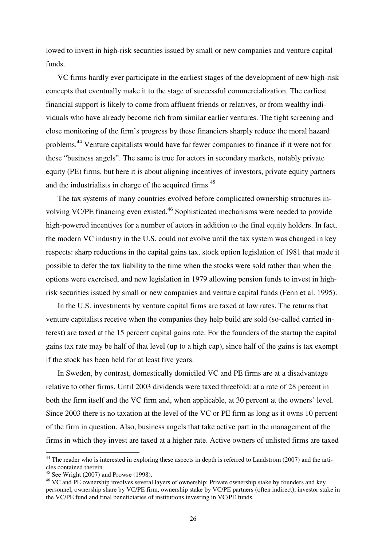lowed to invest in high-risk securities issued by small or new companies and venture capital funds.

VC firms hardly ever participate in the earliest stages of the development of new high-risk concepts that eventually make it to the stage of successful commercialization. The earliest financial support is likely to come from affluent friends or relatives, or from wealthy individuals who have already become rich from similar earlier ventures. The tight screening and close monitoring of the firm's progress by these financiers sharply reduce the moral hazard problems.<sup>44</sup> Venture capitalists would have far fewer companies to finance if it were not for these "business angels". The same is true for actors in secondary markets, notably private equity (PE) firms, but here it is about aligning incentives of investors, private equity partners and the industrialists in charge of the acquired firms.<sup>45</sup>

The tax systems of many countries evolved before complicated ownership structures involving VC/PE financing even existed.<sup>46</sup> Sophisticated mechanisms were needed to provide high-powered incentives for a number of actors in addition to the final equity holders. In fact, the modern VC industry in the U.S. could not evolve until the tax system was changed in key respects: sharp reductions in the capital gains tax, stock option legislation of 1981 that made it possible to defer the tax liability to the time when the stocks were sold rather than when the options were exercised, and new legislation in 1979 allowing pension funds to invest in highrisk securities issued by small or new companies and venture capital funds (Fenn et al. 1995).

In the U.S. investments by venture capital firms are taxed at low rates. The returns that venture capitalists receive when the companies they help build are sold (so-called carried interest) are taxed at the 15 percent capital gains rate. For the founders of the startup the capital gains tax rate may be half of that level (up to a high cap), since half of the gains is tax exempt if the stock has been held for at least five years.

In Sweden, by contrast, domestically domiciled VC and PE firms are at a disadvantage relative to other firms. Until 2003 dividends were taxed threefold: at a rate of 28 percent in both the firm itself and the VC firm and, when applicable, at 30 percent at the owners' level. Since 2003 there is no taxation at the level of the VC or PE firm as long as it owns 10 percent of the firm in question. Also, business angels that take active part in the management of the firms in which they invest are taxed at a higher rate. Active owners of unlisted firms are taxed

 $44$  The reader who is interested in exploring these aspects in depth is referred to Landström (2007) and the articles contained therein.

 $5$  See Wright (2007) and Prowse (1998).

<sup>&</sup>lt;sup>46</sup> VC and PE ownership involves several layers of ownership: Private ownership stake by founders and key personnel, ownership share by VC/PE firm, ownership stake by VC/PE partners (often indirect), investor stake in the VC/PE fund and final beneficiaries of institutions investing in VC/PE funds.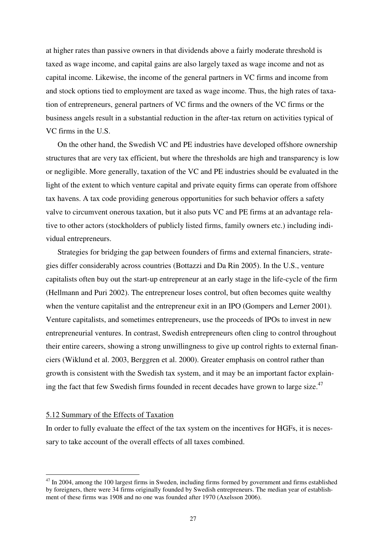at higher rates than passive owners in that dividends above a fairly moderate threshold is taxed as wage income, and capital gains are also largely taxed as wage income and not as capital income. Likewise, the income of the general partners in VC firms and income from and stock options tied to employment are taxed as wage income. Thus, the high rates of taxation of entrepreneurs, general partners of VC firms and the owners of the VC firms or the business angels result in a substantial reduction in the after-tax return on activities typical of VC firms in the U.S.

On the other hand, the Swedish VC and PE industries have developed offshore ownership structures that are very tax efficient, but where the thresholds are high and transparency is low or negligible. More generally, taxation of the VC and PE industries should be evaluated in the light of the extent to which venture capital and private equity firms can operate from offshore tax havens. A tax code providing generous opportunities for such behavior offers a safety valve to circumvent onerous taxation, but it also puts VC and PE firms at an advantage relative to other actors (stockholders of publicly listed firms, family owners etc.) including individual entrepreneurs.

Strategies for bridging the gap between founders of firms and external financiers, strategies differ considerably across countries (Bottazzi and Da Rin 2005). In the U.S., venture capitalists often buy out the start-up entrepreneur at an early stage in the life-cycle of the firm (Hellmann and Puri 2002). The entrepreneur loses control, but often becomes quite wealthy when the venture capitalist and the entrepreneur exit in an IPO (Gompers and Lerner 2001). Venture capitalists, and sometimes entrepreneurs, use the proceeds of IPOs to invest in new entrepreneurial ventures. In contrast, Swedish entrepreneurs often cling to control throughout their entire careers, showing a strong unwillingness to give up control rights to external financiers (Wiklund et al. 2003, Berggren et al. 2000). Greater emphasis on control rather than growth is consistent with the Swedish tax system, and it may be an important factor explaining the fact that few Swedish firms founded in recent decades have grown to large size. $47$ 

#### 5.12 Summary of the Effects of Taxation

 $\overline{a}$ 

In order to fully evaluate the effect of the tax system on the incentives for HGFs, it is necessary to take account of the overall effects of all taxes combined.

<sup>&</sup>lt;sup>47</sup> In 2004, among the 100 largest firms in Sweden, including firms formed by government and firms established by foreigners, there were 34 firms originally founded by Swedish entrepreneurs. The median year of establishment of these firms was 1908 and no one was founded after 1970 (Axelsson 2006).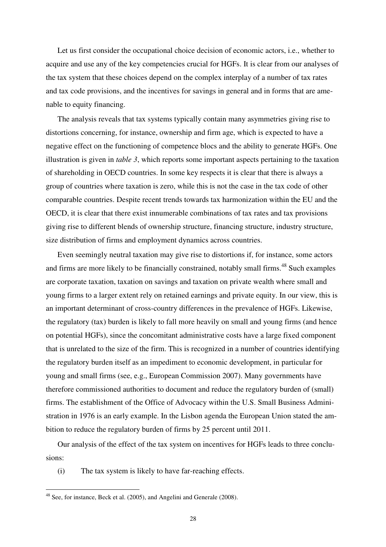Let us first consider the occupational choice decision of economic actors, i.e., whether to acquire and use any of the key competencies crucial for HGFs. It is clear from our analyses of the tax system that these choices depend on the complex interplay of a number of tax rates and tax code provisions, and the incentives for savings in general and in forms that are amenable to equity financing.

The analysis reveals that tax systems typically contain many asymmetries giving rise to distortions concerning, for instance, ownership and firm age, which is expected to have a negative effect on the functioning of competence blocs and the ability to generate HGFs. One illustration is given in *table 3*, which reports some important aspects pertaining to the taxation of shareholding in OECD countries. In some key respects it is clear that there is always a group of countries where taxation is zero, while this is not the case in the tax code of other comparable countries. Despite recent trends towards tax harmonization within the EU and the OECD, it is clear that there exist innumerable combinations of tax rates and tax provisions giving rise to different blends of ownership structure, financing structure, industry structure, size distribution of firms and employment dynamics across countries.

Even seemingly neutral taxation may give rise to distortions if, for instance, some actors and firms are more likely to be financially constrained, notably small firms.<sup>48</sup> Such examples are corporate taxation, taxation on savings and taxation on private wealth where small and young firms to a larger extent rely on retained earnings and private equity. In our view, this is an important determinant of cross-country differences in the prevalence of HGFs. Likewise, the regulatory (tax) burden is likely to fall more heavily on small and young firms (and hence on potential HGFs), since the concomitant administrative costs have a large fixed component that is unrelated to the size of the firm. This is recognized in a number of countries identifying the regulatory burden itself as an impediment to economic development, in particular for young and small firms (see, e.g., European Commission 2007). Many governments have therefore commissioned authorities to document and reduce the regulatory burden of (small) firms. The establishment of the Office of Advocacy within the U.S. Small Business Administration in 1976 is an early example. In the Lisbon agenda the European Union stated the ambition to reduce the regulatory burden of firms by 25 percent until 2011.

Our analysis of the effect of the tax system on incentives for HGFs leads to three conclusions:

(i) The tax system is likely to have far-reaching effects.

 $48$  See, for instance, Beck et al. (2005), and Angelini and Generale (2008).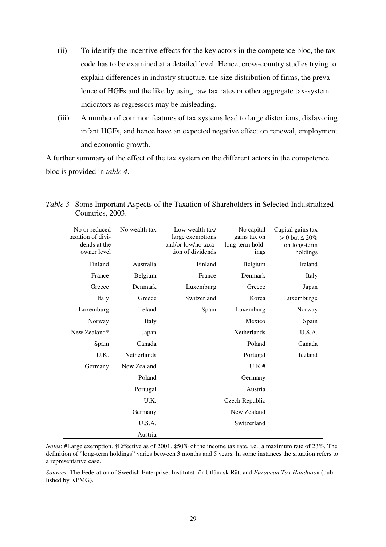- (ii) To identify the incentive effects for the key actors in the competence bloc, the tax code has to be examined at a detailed level. Hence, cross-country studies trying to explain differences in industry structure, the size distribution of firms, the prevalence of HGFs and the like by using raw tax rates or other aggregate tax-system indicators as regressors may be misleading.
- (iii) A number of common features of tax systems lead to large distortions, disfavoring infant HGFs, and hence have an expected negative effect on renewal, employment and economic growth.

A further summary of the effect of the tax system on the different actors in the competence bloc is provided in *table 4*.

| No or reduced<br>taxation of divi-<br>dends at the<br>owner level | No wealth tax      | Low wealth tax/<br>large exemptions<br>and/or low/no taxa-<br>tion of dividends | No capital<br>gains tax on<br>long-term hold-<br>ings | Capital gains tax<br>$> 0$ but $\leq 20\%$<br>on long-term<br>holdings |
|-------------------------------------------------------------------|--------------------|---------------------------------------------------------------------------------|-------------------------------------------------------|------------------------------------------------------------------------|
| Finland                                                           | Australia          | Finland                                                                         | Belgium                                               | Ireland                                                                |
| France                                                            | Belgium            | France                                                                          | Denmark                                               | Italy                                                                  |
| Greece                                                            | Denmark            | Luxemburg                                                                       | Greece                                                | Japan                                                                  |
| Italy                                                             | Greece             | Switzerland                                                                     | Korea                                                 | Luxemburg‡                                                             |
| Luxemburg                                                         | Ireland            | Spain                                                                           | Luxemburg                                             | Norway                                                                 |
| Norway                                                            | Italy              |                                                                                 | Mexico                                                | Spain                                                                  |
| New Zealand*                                                      | Japan              |                                                                                 | <b>Netherlands</b>                                    | U.S.A.                                                                 |
| Spain                                                             | Canada             |                                                                                 | Poland                                                | Canada                                                                 |
| U.K.                                                              | <b>Netherlands</b> |                                                                                 | Portugal                                              | Iceland                                                                |
| Germany                                                           | New Zealand        | U.K.#                                                                           |                                                       |                                                                        |
|                                                                   | Poland             |                                                                                 | Germany                                               |                                                                        |
|                                                                   | Portugal           |                                                                                 | Austria                                               |                                                                        |
|                                                                   | U.K.               |                                                                                 | Czech Republic                                        |                                                                        |
|                                                                   | Germany            |                                                                                 | New Zealand                                           |                                                                        |
|                                                                   | U.S.A.             |                                                                                 | Switzerland                                           |                                                                        |
|                                                                   | Austria            |                                                                                 |                                                       |                                                                        |

*Table 3* Some Important Aspects of the Taxation of Shareholders in Selected Industrialized Countries, 2003.

*Notes*: #Large exemption. †Effective as of 2001. ‡50% of the income tax rate, i.e., a maximum rate of 23%. The definition of "long-term holdings" varies between 3 months and 5 years. In some instances the situation refers to a representative case.

*Sources*: The Federation of Swedish Enterprise, Institutet för Utländsk Rätt and *European Tax Handbook* (published by KPMG).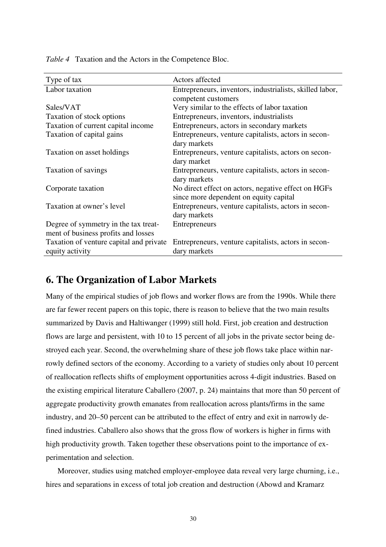| Type of tax                             | Actors affected                                          |
|-----------------------------------------|----------------------------------------------------------|
| Labor taxation                          | Entrepreneurs, inventors, industrialists, skilled labor, |
|                                         | competent customers                                      |
| Sales/VAT                               | Very similar to the effects of labor taxation            |
| Taxation of stock options               | Entrepreneurs, inventors, industrialists                 |
| Taxation of current capital income      | Entrepreneurs, actors in secondary markets               |
| Taxation of capital gains               | Entrepreneurs, venture capitalists, actors in secon-     |
|                                         | dary markets                                             |
| Taxation on asset holdings              | Entrepreneurs, venture capitalists, actors on secon-     |
|                                         | dary market                                              |
| Taxation of savings                     | Entrepreneurs, venture capitalists, actors in secon-     |
|                                         | dary markets                                             |
| Corporate taxation                      | No direct effect on actors, negative effect on HGFs      |
|                                         | since more dependent on equity capital                   |
| Taxation at owner's level               | Entrepreneurs, venture capitalists, actors in secon-     |
|                                         | dary markets                                             |
| Degree of symmetry in the tax treat-    | Entrepreneurs                                            |
| ment of business profits and losses     |                                                          |
| Taxation of venture capital and private | Entrepreneurs, venture capitalists, actors in secon-     |
| equity activity                         | dary markets                                             |

*Table 4* Taxation and the Actors in the Competence Bloc.

# **6. The Organization of Labor Markets**

Many of the empirical studies of job flows and worker flows are from the 1990s. While there are far fewer recent papers on this topic, there is reason to believe that the two main results summarized by Davis and Haltiwanger (1999) still hold. First, job creation and destruction flows are large and persistent, with 10 to 15 percent of all jobs in the private sector being destroyed each year. Second, the overwhelming share of these job flows take place within narrowly defined sectors of the economy. According to a variety of studies only about 10 percent of reallocation reflects shifts of employment opportunities across 4-digit industries. Based on the existing empirical literature Caballero (2007, p. 24) maintains that more than 50 percent of aggregate productivity growth emanates from reallocation across plants/firms in the same industry, and 20–50 percent can be attributed to the effect of entry and exit in narrowly defined industries. Caballero also shows that the gross flow of workers is higher in firms with high productivity growth. Taken together these observations point to the importance of experimentation and selection.

Moreover, studies using matched employer-employee data reveal very large churning, i.e., hires and separations in excess of total job creation and destruction (Abowd and Kramarz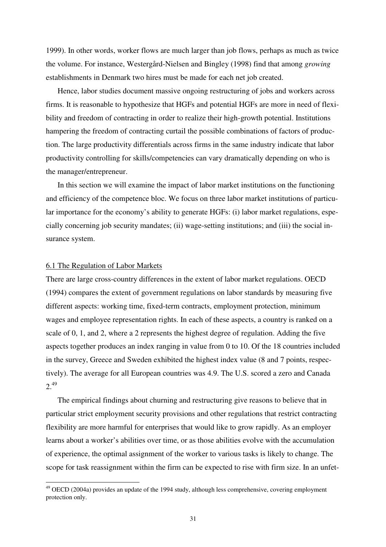1999). In other words, worker flows are much larger than job flows, perhaps as much as twice the volume. For instance, Westergård-Nielsen and Bingley (1998) find that among *growing* establishments in Denmark two hires must be made for each net job created.

Hence, labor studies document massive ongoing restructuring of jobs and workers across firms. It is reasonable to hypothesize that HGFs and potential HGFs are more in need of flexibility and freedom of contracting in order to realize their high-growth potential. Institutions hampering the freedom of contracting curtail the possible combinations of factors of production. The large productivity differentials across firms in the same industry indicate that labor productivity controlling for skills/competencies can vary dramatically depending on who is the manager/entrepreneur.

In this section we will examine the impact of labor market institutions on the functioning and efficiency of the competence bloc. We focus on three labor market institutions of particular importance for the economy's ability to generate HGFs: (i) labor market regulations, especially concerning job security mandates; (ii) wage-setting institutions; and (iii) the social insurance system.

#### 6.1 The Regulation of Labor Markets

 $\overline{a}$ 

There are large cross-country differences in the extent of labor market regulations. OECD (1994) compares the extent of government regulations on labor standards by measuring five different aspects: working time, fixed-term contracts, employment protection, minimum wages and employee representation rights. In each of these aspects, a country is ranked on a scale of 0, 1, and 2, where a 2 represents the highest degree of regulation. Adding the five aspects together produces an index ranging in value from 0 to 10. Of the 18 countries included in the survey, Greece and Sweden exhibited the highest index value (8 and 7 points, respectively). The average for all European countries was 4.9. The U.S. scored a zero and Canada  $2^{49}$ 

The empirical findings about churning and restructuring give reasons to believe that in particular strict employment security provisions and other regulations that restrict contracting flexibility are more harmful for enterprises that would like to grow rapidly. As an employer learns about a worker's abilities over time, or as those abilities evolve with the accumulation of experience, the optimal assignment of the worker to various tasks is likely to change. The scope for task reassignment within the firm can be expected to rise with firm size. In an unfet-

 $49$  OECD (2004a) provides an update of the 1994 study, although less comprehensive, covering employment protection only.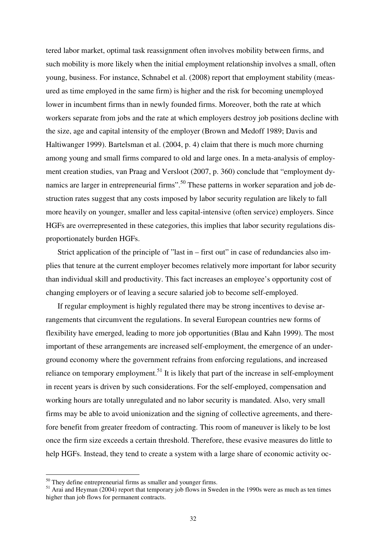tered labor market, optimal task reassignment often involves mobility between firms, and such mobility is more likely when the initial employment relationship involves a small, often young, business. For instance, Schnabel et al. (2008) report that employment stability (measured as time employed in the same firm) is higher and the risk for becoming unemployed lower in incumbent firms than in newly founded firms. Moreover, both the rate at which workers separate from jobs and the rate at which employers destroy job positions decline with the size, age and capital intensity of the employer (Brown and Medoff 1989; Davis and Haltiwanger 1999). Bartelsman et al. (2004, p. 4) claim that there is much more churning among young and small firms compared to old and large ones. In a meta-analysis of employment creation studies, van Praag and Versloot (2007, p. 360) conclude that "employment dynamics are larger in entrepreneurial firms".<sup>50</sup> These patterns in worker separation and job destruction rates suggest that any costs imposed by labor security regulation are likely to fall more heavily on younger, smaller and less capital-intensive (often service) employers. Since HGFs are overrepresented in these categories, this implies that labor security regulations disproportionately burden HGFs.

Strict application of the principle of "last in – first out" in case of redundancies also implies that tenure at the current employer becomes relatively more important for labor security than individual skill and productivity. This fact increases an employee's opportunity cost of changing employers or of leaving a secure salaried job to become self-employed.

If regular employment is highly regulated there may be strong incentives to devise arrangements that circumvent the regulations. In several European countries new forms of flexibility have emerged, leading to more job opportunities (Blau and Kahn 1999). The most important of these arrangements are increased self-employment, the emergence of an underground economy where the government refrains from enforcing regulations, and increased reliance on temporary employment.<sup>51</sup> It is likely that part of the increase in self-employment in recent years is driven by such considerations. For the self-employed, compensation and working hours are totally unregulated and no labor security is mandated. Also, very small firms may be able to avoid unionization and the signing of collective agreements, and therefore benefit from greater freedom of contracting. This room of maneuver is likely to be lost once the firm size exceeds a certain threshold. Therefore, these evasive measures do little to help HGFs. Instead, they tend to create a system with a large share of economic activity oc-

 $50$  They define entrepreneurial firms as smaller and younger firms.

<sup>&</sup>lt;sup>51</sup> Arai and Heyman (2004) report that temporary job flows in Sweden in the 1990s were as much as ten times higher than job flows for permanent contracts.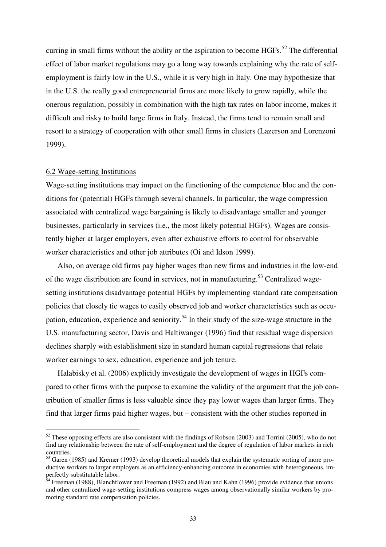curring in small firms without the ability or the aspiration to become  $HGFs<sup>52</sup>$ . The differential effect of labor market regulations may go a long way towards explaining why the rate of selfemployment is fairly low in the U.S., while it is very high in Italy. One may hypothesize that in the U.S. the really good entrepreneurial firms are more likely to grow rapidly, while the onerous regulation, possibly in combination with the high tax rates on labor income, makes it difficult and risky to build large firms in Italy. Instead, the firms tend to remain small and resort to a strategy of cooperation with other small firms in clusters (Lazerson and Lorenzoni 1999).

#### 6.2 Wage-setting Institutions

 $\overline{a}$ 

Wage-setting institutions may impact on the functioning of the competence bloc and the conditions for (potential) HGFs through several channels. In particular, the wage compression associated with centralized wage bargaining is likely to disadvantage smaller and younger businesses, particularly in services (i.e., the most likely potential HGFs). Wages are consistently higher at larger employers, even after exhaustive efforts to control for observable worker characteristics and other job attributes (Oi and Idson 1999).

Also, on average old firms pay higher wages than new firms and industries in the low-end of the wage distribution are found in services, not in manufacturing.<sup>53</sup> Centralized wagesetting institutions disadvantage potential HGFs by implementing standard rate compensation policies that closely tie wages to easily observed job and worker characteristics such as occupation, education, experience and seniority.<sup>54</sup> In their study of the size-wage structure in the U.S. manufacturing sector, Davis and Haltiwanger (1996) find that residual wage dispersion declines sharply with establishment size in standard human capital regressions that relate worker earnings to sex, education, experience and job tenure.

Halabisky et al. (2006) explicitly investigate the development of wages in HGFs compared to other firms with the purpose to examine the validity of the argument that the job contribution of smaller firms is less valuable since they pay lower wages than larger firms. They find that larger firms paid higher wages, but – consistent with the other studies reported in

 $52$  These opposing effects are also consistent with the findings of Robson (2003) and Torrini (2005), who do not find any relationship between the rate of self-employment and the degree of regulation of labor markets in rich countries.

<sup>&</sup>lt;sup>53</sup> Garen (1985) and Kremer (1993) develop theoretical models that explain the systematic sorting of more productive workers to larger employers as an efficiency-enhancing outcome in economies with heterogeneous, imperfectly substitutable labor.

<sup>&</sup>lt;sup>54</sup> Freeman (1988), Blanchflower and Freeman (1992) and Blau and Kahn (1996) provide evidence that unions and other centralized wage-setting institutions compress wages among observationally similar workers by promoting standard rate compensation policies.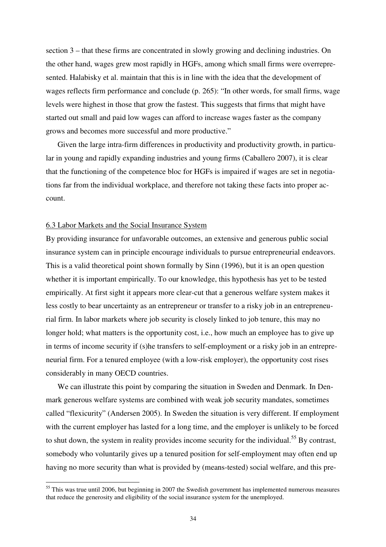section 3 – that these firms are concentrated in slowly growing and declining industries. On the other hand, wages grew most rapidly in HGFs, among which small firms were overrepresented. Halabisky et al. maintain that this is in line with the idea that the development of wages reflects firm performance and conclude (p. 265): "In other words, for small firms, wage levels were highest in those that grow the fastest. This suggests that firms that might have started out small and paid low wages can afford to increase wages faster as the company grows and becomes more successful and more productive."

Given the large intra-firm differences in productivity and productivity growth, in particular in young and rapidly expanding industries and young firms (Caballero 2007), it is clear that the functioning of the competence bloc for HGFs is impaired if wages are set in negotiations far from the individual workplace, and therefore not taking these facts into proper account.

#### 6.3 Labor Markets and the Social Insurance System

 $\overline{a}$ 

By providing insurance for unfavorable outcomes, an extensive and generous public social insurance system can in principle encourage individuals to pursue entrepreneurial endeavors. This is a valid theoretical point shown formally by Sinn (1996), but it is an open question whether it is important empirically. To our knowledge, this hypothesis has yet to be tested empirically. At first sight it appears more clear-cut that a generous welfare system makes it less costly to bear uncertainty as an entrepreneur or transfer to a risky job in an entrepreneurial firm. In labor markets where job security is closely linked to job tenure, this may no longer hold; what matters is the opportunity cost, i.e., how much an employee has to give up in terms of income security if (s)he transfers to self-employment or a risky job in an entrepreneurial firm. For a tenured employee (with a low-risk employer), the opportunity cost rises considerably in many OECD countries.

We can illustrate this point by comparing the situation in Sweden and Denmark. In Denmark generous welfare systems are combined with weak job security mandates, sometimes called "flexicurity" (Andersen 2005). In Sweden the situation is very different. If employment with the current employer has lasted for a long time, and the employer is unlikely to be forced to shut down, the system in reality provides income security for the individual.<sup>55</sup> By contrast, somebody who voluntarily gives up a tenured position for self-employment may often end up having no more security than what is provided by (means-tested) social welfare, and this pre-

 $55$  This was true until 2006, but beginning in 2007 the Swedish government has implemented numerous measures that reduce the generosity and eligibility of the social insurance system for the unemployed.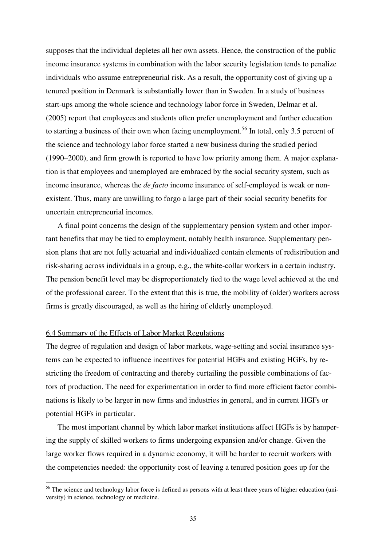supposes that the individual depletes all her own assets. Hence, the construction of the public income insurance systems in combination with the labor security legislation tends to penalize individuals who assume entrepreneurial risk. As a result, the opportunity cost of giving up a tenured position in Denmark is substantially lower than in Sweden. In a study of business start-ups among the whole science and technology labor force in Sweden, Delmar et al. (2005) report that employees and students often prefer unemployment and further education to starting a business of their own when facing unemployment.<sup>56</sup> In total, only 3.5 percent of the science and technology labor force started a new business during the studied period (1990–2000), and firm growth is reported to have low priority among them. A major explanation is that employees and unemployed are embraced by the social security system, such as income insurance, whereas the *de facto* income insurance of self-employed is weak or nonexistent. Thus, many are unwilling to forgo a large part of their social security benefits for uncertain entrepreneurial incomes.

A final point concerns the design of the supplementary pension system and other important benefits that may be tied to employment, notably health insurance. Supplementary pension plans that are not fully actuarial and individualized contain elements of redistribution and risk-sharing across individuals in a group, e.g., the white-collar workers in a certain industry. The pension benefit level may be disproportionately tied to the wage level achieved at the end of the professional career. To the extent that this is true, the mobility of (older) workers across firms is greatly discouraged, as well as the hiring of elderly unemployed.

#### 6.4 Summary of the Effects of Labor Market Regulations

 $\overline{a}$ 

The degree of regulation and design of labor markets, wage-setting and social insurance systems can be expected to influence incentives for potential HGFs and existing HGFs, by restricting the freedom of contracting and thereby curtailing the possible combinations of factors of production. The need for experimentation in order to find more efficient factor combinations is likely to be larger in new firms and industries in general, and in current HGFs or potential HGFs in particular.

The most important channel by which labor market institutions affect HGFs is by hampering the supply of skilled workers to firms undergoing expansion and/or change. Given the large worker flows required in a dynamic economy, it will be harder to recruit workers with the competencies needed: the opportunity cost of leaving a tenured position goes up for the

<sup>&</sup>lt;sup>56</sup> The science and technology labor force is defined as persons with at least three years of higher education (university) in science, technology or medicine.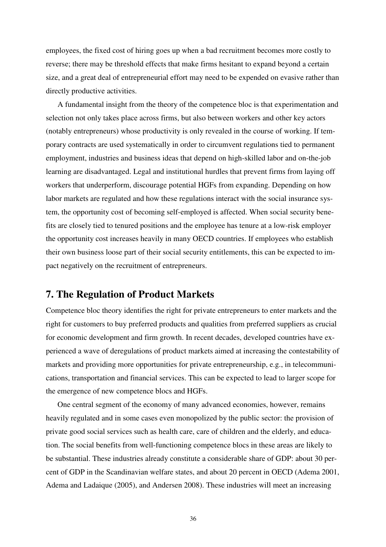employees, the fixed cost of hiring goes up when a bad recruitment becomes more costly to reverse; there may be threshold effects that make firms hesitant to expand beyond a certain size, and a great deal of entrepreneurial effort may need to be expended on evasive rather than directly productive activities.

A fundamental insight from the theory of the competence bloc is that experimentation and selection not only takes place across firms, but also between workers and other key actors (notably entrepreneurs) whose productivity is only revealed in the course of working. If temporary contracts are used systematically in order to circumvent regulations tied to permanent employment, industries and business ideas that depend on high-skilled labor and on-the-job learning are disadvantaged. Legal and institutional hurdles that prevent firms from laying off workers that underperform, discourage potential HGFs from expanding. Depending on how labor markets are regulated and how these regulations interact with the social insurance system, the opportunity cost of becoming self-employed is affected. When social security benefits are closely tied to tenured positions and the employee has tenure at a low-risk employer the opportunity cost increases heavily in many OECD countries. If employees who establish their own business loose part of their social security entitlements, this can be expected to impact negatively on the recruitment of entrepreneurs.

# **7. The Regulation of Product Markets**

Competence bloc theory identifies the right for private entrepreneurs to enter markets and the right for customers to buy preferred products and qualities from preferred suppliers as crucial for economic development and firm growth. In recent decades, developed countries have experienced a wave of deregulations of product markets aimed at increasing the contestability of markets and providing more opportunities for private entrepreneurship, e.g., in telecommunications, transportation and financial services. This can be expected to lead to larger scope for the emergence of new competence blocs and HGFs.

One central segment of the economy of many advanced economies, however, remains heavily regulated and in some cases even monopolized by the public sector: the provision of private good social services such as health care, care of children and the elderly, and education. The social benefits from well-functioning competence blocs in these areas are likely to be substantial. These industries already constitute a considerable share of GDP: about 30 percent of GDP in the Scandinavian welfare states, and about 20 percent in OECD (Adema 2001, Adema and Ladaique (2005), and Andersen 2008). These industries will meet an increasing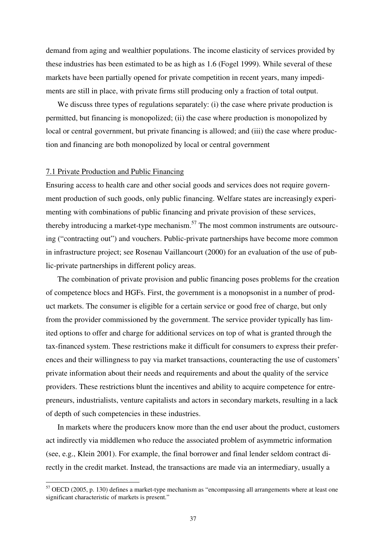demand from aging and wealthier populations. The income elasticity of services provided by these industries has been estimated to be as high as 1.6 (Fogel 1999). While several of these markets have been partially opened for private competition in recent years, many impediments are still in place, with private firms still producing only a fraction of total output.

We discuss three types of regulations separately: (i) the case where private production is permitted, but financing is monopolized; (ii) the case where production is monopolized by local or central government, but private financing is allowed; and (iii) the case where production and financing are both monopolized by local or central government

#### 7.1 Private Production and Public Financing

 $\overline{a}$ 

Ensuring access to health care and other social goods and services does not require government production of such goods, only public financing. Welfare states are increasingly experimenting with combinations of public financing and private provision of these services, thereby introducing a market-type mechanism.<sup>57</sup> The most common instruments are outsourcing ("contracting out") and vouchers. Public-private partnerships have become more common in infrastructure project; see Rosenau Vaillancourt (2000) for an evaluation of the use of public-private partnerships in different policy areas.

The combination of private provision and public financing poses problems for the creation of competence blocs and HGFs. First, the government is a monopsonist in a number of product markets. The consumer is eligible for a certain service or good free of charge, but only from the provider commissioned by the government. The service provider typically has limited options to offer and charge for additional services on top of what is granted through the tax-financed system. These restrictions make it difficult for consumers to express their preferences and their willingness to pay via market transactions, counteracting the use of customers' private information about their needs and requirements and about the quality of the service providers. These restrictions blunt the incentives and ability to acquire competence for entrepreneurs, industrialists, venture capitalists and actors in secondary markets, resulting in a lack of depth of such competencies in these industries.

In markets where the producers know more than the end user about the product, customers act indirectly via middlemen who reduce the associated problem of asymmetric information (see, e.g., Klein 2001). For example, the final borrower and final lender seldom contract directly in the credit market. Instead, the transactions are made via an intermediary, usually a

 $57$  OECD (2005, p. 130) defines a market-type mechanism as "encompassing all arrangements where at least one significant characteristic of markets is present."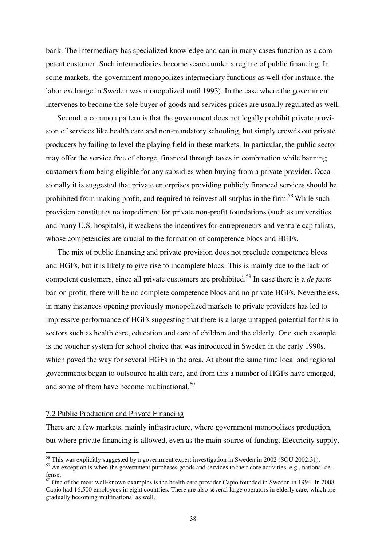bank. The intermediary has specialized knowledge and can in many cases function as a competent customer. Such intermediaries become scarce under a regime of public financing. In some markets, the government monopolizes intermediary functions as well (for instance, the labor exchange in Sweden was monopolized until 1993). In the case where the government intervenes to become the sole buyer of goods and services prices are usually regulated as well.

Second, a common pattern is that the government does not legally prohibit private provision of services like health care and non-mandatory schooling, but simply crowds out private producers by failing to level the playing field in these markets. In particular, the public sector may offer the service free of charge, financed through taxes in combination while banning customers from being eligible for any subsidies when buying from a private provider. Occasionally it is suggested that private enterprises providing publicly financed services should be prohibited from making profit, and required to reinvest all surplus in the firm.<sup>58</sup> While such provision constitutes no impediment for private non-profit foundations (such as universities and many U.S. hospitals), it weakens the incentives for entrepreneurs and venture capitalists, whose competencies are crucial to the formation of competence blocs and HGFs.

The mix of public financing and private provision does not preclude competence blocs and HGFs, but it is likely to give rise to incomplete blocs. This is mainly due to the lack of competent customers, since all private customers are prohibited.<sup>59</sup> In case there is a *de facto* ban on profit, there will be no complete competence blocs and no private HGFs. Nevertheless, in many instances opening previously monopolized markets to private providers has led to impressive performance of HGFs suggesting that there is a large untapped potential for this in sectors such as health care, education and care of children and the elderly. One such example is the voucher system for school choice that was introduced in Sweden in the early 1990s, which paved the way for several HGFs in the area. At about the same time local and regional governments began to outsource health care, and from this a number of HGFs have emerged, and some of them have become multinational.<sup>60</sup>

#### 7.2 Public Production and Private Financing

 $\overline{a}$ 

There are a few markets, mainly infrastructure, where government monopolizes production, but where private financing is allowed, even as the main source of funding. Electricity supply,

<sup>&</sup>lt;sup>58</sup> This was explicitly suggested by a government expert investigation in Sweden in 2002 (SOU 2002:31).

<sup>&</sup>lt;sup>59</sup> An exception is when the government purchases goods and services to their core activities, e.g., national defense.

 $60$  One of the most well-known examples is the health care provider Capio founded in Sweden in 1994. In 2008 Capio had 16,500 employees in eight countries. There are also several large operators in elderly care, which are gradually becoming multinational as well.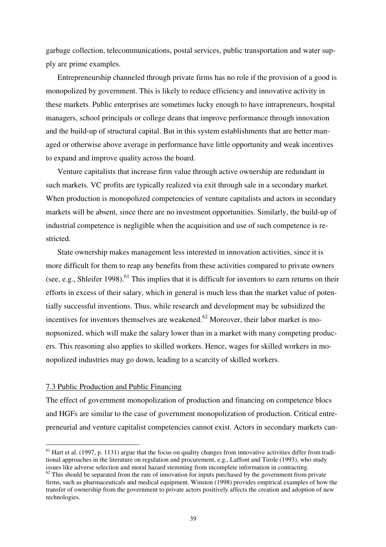garbage collection, telecommunications, postal services, public transportation and water supply are prime examples.

Entrepreneurship channeled through private firms has no role if the provision of a good is monopolized by government. This is likely to reduce efficiency and innovative activity in these markets. Public enterprises are sometimes lucky enough to have intrapreneurs, hospital managers, school principals or college deans that improve performance through innovation and the build-up of structural capital. But in this system establishments that are better managed or otherwise above average in performance have little opportunity and weak incentives to expand and improve quality across the board.

Venture capitalists that increase firm value through active ownership are redundant in such markets. VC profits are typically realized via exit through sale in a secondary market. When production is monopolized competencies of venture capitalists and actors in secondary markets will be absent, since there are no investment opportunities. Similarly, the build-up of industrial competence is negligible when the acquisition and use of such competence is restricted.

State ownership makes management less interested in innovation activities, since it is more difficult for them to reap any benefits from these activities compared to private owners (see, e.g., Shleifer 1998).<sup>61</sup> This implies that it is difficult for inventors to earn returns on their efforts in excess of their salary, which in general is much less than the market value of potentially successful inventions. Thus, while research and development may be subsidized the incentives for inventors themselves are weakened.<sup>62</sup> Moreover, their labor market is monopsonized, which will make the salary lower than in a market with many competing producers. This reasoning also applies to skilled workers. Hence, wages for skilled workers in monopolized industries may go down, leading to a scarcity of skilled workers.

#### 7.3 Public Production and Public Financing

 $\overline{a}$ 

The effect of government monopolization of production and financing on competence blocs and HGFs are similar to the case of government monopolization of production. Critical entrepreneurial and venture capitalist competencies cannot exist. Actors in secondary markets can-

 $<sup>61</sup>$  Hart et al. (1997, p. 1131) argue that the focus on quality changes from innovative activities differ from tradi-</sup> tional approaches in the literature on regulation and procurement, e.g., Laffont and Tirole (1993), who study issues like adverse selection and moral hazard stemming from incomplete information in contracting.

 $62$  This should be separated from the rate of innovation for inputs purchased by the government from private firms, such as pharmaceuticals and medical equipment. Winston (1998) provides empirical examples of how the transfer of ownership from the government to private actors positively affects the creation and adoption of new technologies.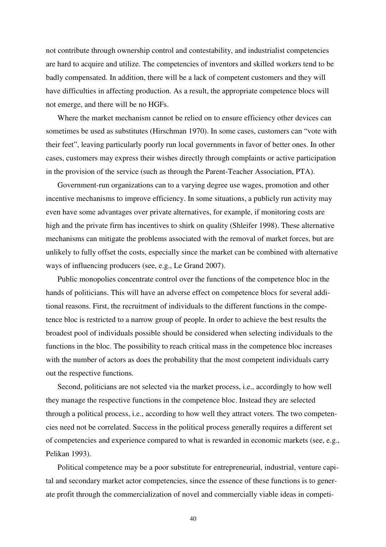not contribute through ownership control and contestability, and industrialist competencies are hard to acquire and utilize. The competencies of inventors and skilled workers tend to be badly compensated. In addition, there will be a lack of competent customers and they will have difficulties in affecting production. As a result, the appropriate competence blocs will not emerge, and there will be no HGFs.

Where the market mechanism cannot be relied on to ensure efficiency other devices can sometimes be used as substitutes (Hirschman 1970). In some cases, customers can "vote with their feet", leaving particularly poorly run local governments in favor of better ones. In other cases, customers may express their wishes directly through complaints or active participation in the provision of the service (such as through the Parent-Teacher Association, PTA).

Government-run organizations can to a varying degree use wages, promotion and other incentive mechanisms to improve efficiency. In some situations, a publicly run activity may even have some advantages over private alternatives, for example, if monitoring costs are high and the private firm has incentives to shirk on quality (Shleifer 1998). These alternative mechanisms can mitigate the problems associated with the removal of market forces, but are unlikely to fully offset the costs, especially since the market can be combined with alternative ways of influencing producers (see, e.g., Le Grand 2007).

Public monopolies concentrate control over the functions of the competence bloc in the hands of politicians. This will have an adverse effect on competence blocs for several additional reasons. First, the recruitment of individuals to the different functions in the competence bloc is restricted to a narrow group of people. In order to achieve the best results the broadest pool of individuals possible should be considered when selecting individuals to the functions in the bloc. The possibility to reach critical mass in the competence bloc increases with the number of actors as does the probability that the most competent individuals carry out the respective functions.

Second, politicians are not selected via the market process, i.e., accordingly to how well they manage the respective functions in the competence bloc. Instead they are selected through a political process, i.e., according to how well they attract voters. The two competencies need not be correlated. Success in the political process generally requires a different set of competencies and experience compared to what is rewarded in economic markets (see, e.g., Pelikan 1993).

Political competence may be a poor substitute for entrepreneurial, industrial, venture capital and secondary market actor competencies, since the essence of these functions is to generate profit through the commercialization of novel and commercially viable ideas in competi-

40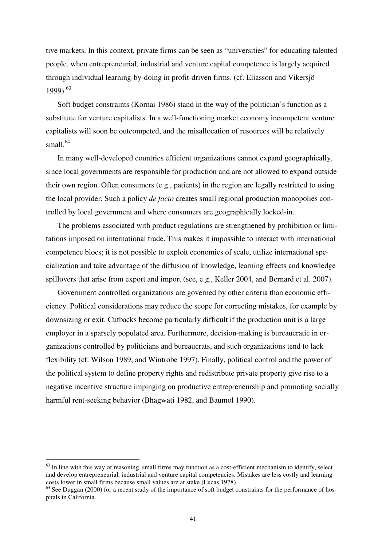tive markets. In this context, private firms can be seen as "universities" for educating talented people, when entrepreneurial, industrial and venture capital competence is largely acquired through individual learning-by-doing in profit-driven firms. (cf. Eliasson and Vikersjö 1999). $63$ 

Soft budget constraints (Kornai 1986) stand in the way of the politician's function as a substitute for venture capitalists. In a well-functioning market economy incompetent venture capitalists will soon be outcompeted, and the misallocation of resources will be relatively small $64$ 

In many well-developed countries efficient organizations cannot expand geographically, since local governments are responsible for production and are not allowed to expand outside their own region. Often consumers (e.g., patients) in the region are legally restricted to using the local provider. Such a policy *de facto* creates small regional production monopolies controlled by local government and where consumers are geographically locked-in.

The problems associated with product regulations are strengthened by prohibition or limitations imposed on international trade. This makes it impossible to interact with international competence blocs; it is not possible to exploit economies of scale, utilize international specialization and take advantage of the diffusion of knowledge, learning effects and knowledge spillovers that arise from export and import (see, e.g., Keller 2004, and Bernard et al. 2007).

Government controlled organizations are governed by other criteria than economic efficiency. Political considerations may reduce the scope for correcting mistakes, for example by downsizing or exit. Cutbacks become particularly difficult if the production unit is a large employer in a sparsely populated area. Furthermore, decision-making is bureaucratic in organizations controlled by politicians and bureaucrats, and such organizations tend to lack flexibility (cf. Wilson 1989, and Wintrobe 1997). Finally, political control and the power of the political system to define property rights and redistribute private property give rise to a negative incentive structure impinging on productive entrepreneurship and promoting socially harmful rent-seeking behavior (Bhagwati 1982, and Baumol 1990).

 $63$  In line with this way of reasoning, small firms may function as a cost-efficient mechanism to identify, select and develop entrepreneurial, industrial and venture capital competencies. Mistakes are less costly and learning costs lower in small firms because small values are at stake (Lucas 1978).

 $64$  See Duggan (2000) for a recent study of the importance of soft budget constraints for the performance of hospitals in California.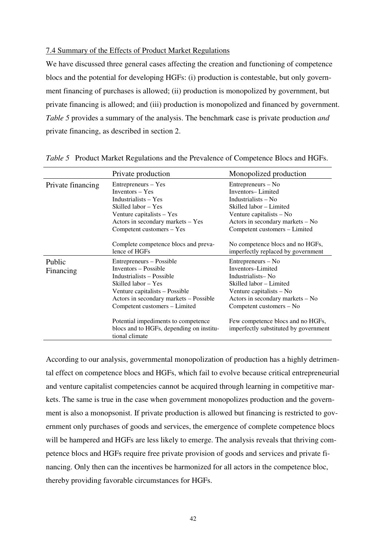#### 7.4 Summary of the Effects of Product Market Regulations

We have discussed three general cases affecting the creation and functioning of competence blocs and the potential for developing HGFs: (i) production is contestable, but only government financing of purchases is allowed; (ii) production is monopolized by government, but private financing is allowed; and (iii) production is monopolized and financed by government. *Table 5* provides a summary of the analysis. The benchmark case is private production *and* private financing, as described in section 2.

|                     | Private production                                                                                                                                                                                                | Monopolized production                                                                                                                                                                     |
|---------------------|-------------------------------------------------------------------------------------------------------------------------------------------------------------------------------------------------------------------|--------------------------------------------------------------------------------------------------------------------------------------------------------------------------------------------|
| Private financing   | Entrepreneurs – Yes<br>Inventors - Yes<br>Industrialists – Yes<br>Skilled labor - Yes<br>Venture capitalists - Yes<br>Actors in secondary markets - Yes<br>Competent customers – Yes                              | Entrepreneurs – No<br>Inventors-Limited<br>Industrialists – No<br>Skilled labor – Limited<br>Venture capitalists – No<br>Actors in secondary markets - No<br>Competent customers - Limited |
|                     | Complete competence blocs and preva-<br>lence of HGFs                                                                                                                                                             | No competence blocs and no HGFs,<br>imperfectly replaced by government                                                                                                                     |
| Public<br>Financing | Entrepreneurs – Possible<br>Inventors – Possible<br>Industrialists – Possible<br>Skilled labor – Yes<br>Venture capitalists – Possible<br>Actors in secondary markets - Possible<br>Competent customers - Limited | $\mu$ Entrepreneurs – No<br>Inventors-Limited<br>Industrialists-No<br>Skilled labor – Limited<br>Venture capitalists – No<br>Actors in secondary markets – No<br>Competent customers – No  |
|                     | Potential impediments to competence<br>blocs and to HGFs, depending on institu-<br>tional climate                                                                                                                 | Few competence blocs and no HGFs,<br>imperfectly substituted by government                                                                                                                 |

*Table 5* Product Market Regulations and the Prevalence of Competence Blocs and HGFs.

According to our analysis, governmental monopolization of production has a highly detrimental effect on competence blocs and HGFs, which fail to evolve because critical entrepreneurial and venture capitalist competencies cannot be acquired through learning in competitive markets. The same is true in the case when government monopolizes production and the government is also a monopsonist. If private production is allowed but financing is restricted to government only purchases of goods and services, the emergence of complete competence blocs will be hampered and HGFs are less likely to emerge. The analysis reveals that thriving competence blocs and HGFs require free private provision of goods and services and private financing. Only then can the incentives be harmonized for all actors in the competence bloc, thereby providing favorable circumstances for HGFs.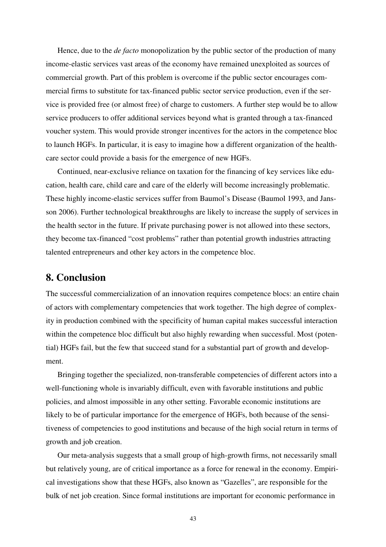Hence, due to the *de facto* monopolization by the public sector of the production of many income-elastic services vast areas of the economy have remained unexploited as sources of commercial growth. Part of this problem is overcome if the public sector encourages commercial firms to substitute for tax-financed public sector service production, even if the service is provided free (or almost free) of charge to customers. A further step would be to allow service producers to offer additional services beyond what is granted through a tax-financed voucher system. This would provide stronger incentives for the actors in the competence bloc to launch HGFs. In particular, it is easy to imagine how a different organization of the healthcare sector could provide a basis for the emergence of new HGFs.

Continued, near-exclusive reliance on taxation for the financing of key services like education, health care, child care and care of the elderly will become increasingly problematic. These highly income-elastic services suffer from Baumol's Disease (Baumol 1993, and Jansson 2006). Further technological breakthroughs are likely to increase the supply of services in the health sector in the future. If private purchasing power is not allowed into these sectors, they become tax-financed "cost problems" rather than potential growth industries attracting talented entrepreneurs and other key actors in the competence bloc.

# **8. Conclusion**

The successful commercialization of an innovation requires competence blocs: an entire chain of actors with complementary competencies that work together. The high degree of complexity in production combined with the specificity of human capital makes successful interaction within the competence bloc difficult but also highly rewarding when successful. Most (potential) HGFs fail, but the few that succeed stand for a substantial part of growth and development.

Bringing together the specialized, non-transferable competencies of different actors into a well-functioning whole is invariably difficult, even with favorable institutions and public policies, and almost impossible in any other setting. Favorable economic institutions are likely to be of particular importance for the emergence of HGFs, both because of the sensitiveness of competencies to good institutions and because of the high social return in terms of growth and job creation.

Our meta-analysis suggests that a small group of high-growth firms, not necessarily small but relatively young, are of critical importance as a force for renewal in the economy. Empirical investigations show that these HGFs, also known as "Gazelles", are responsible for the bulk of net job creation. Since formal institutions are important for economic performance in

43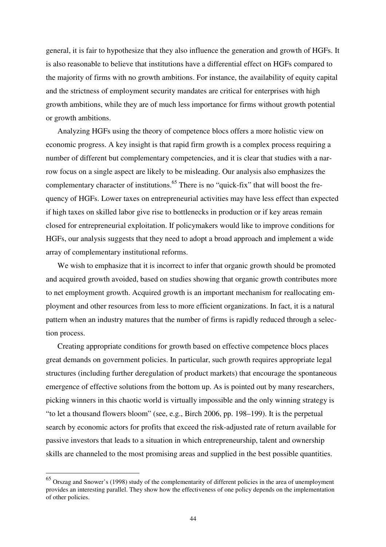general, it is fair to hypothesize that they also influence the generation and growth of HGFs. It is also reasonable to believe that institutions have a differential effect on HGFs compared to the majority of firms with no growth ambitions. For instance, the availability of equity capital and the strictness of employment security mandates are critical for enterprises with high growth ambitions, while they are of much less importance for firms without growth potential or growth ambitions.

Analyzing HGFs using the theory of competence blocs offers a more holistic view on economic progress. A key insight is that rapid firm growth is a complex process requiring a number of different but complementary competencies, and it is clear that studies with a narrow focus on a single aspect are likely to be misleading. Our analysis also emphasizes the complementary character of institutions.<sup>65</sup> There is no "quick-fix" that will boost the frequency of HGFs. Lower taxes on entrepreneurial activities may have less effect than expected if high taxes on skilled labor give rise to bottlenecks in production or if key areas remain closed for entrepreneurial exploitation. If policymakers would like to improve conditions for HGFs, our analysis suggests that they need to adopt a broad approach and implement a wide array of complementary institutional reforms.

We wish to emphasize that it is incorrect to infer that organic growth should be promoted and acquired growth avoided, based on studies showing that organic growth contributes more to net employment growth. Acquired growth is an important mechanism for reallocating employment and other resources from less to more efficient organizations. In fact, it is a natural pattern when an industry matures that the number of firms is rapidly reduced through a selection process.

Creating appropriate conditions for growth based on effective competence blocs places great demands on government policies. In particular, such growth requires appropriate legal structures (including further deregulation of product markets) that encourage the spontaneous emergence of effective solutions from the bottom up. As is pointed out by many researchers, picking winners in this chaotic world is virtually impossible and the only winning strategy is "to let a thousand flowers bloom" (see, e.g., Birch 2006, pp. 198–199). It is the perpetual search by economic actors for profits that exceed the risk-adjusted rate of return available for passive investors that leads to a situation in which entrepreneurship, talent and ownership skills are channeled to the most promising areas and supplied in the best possible quantities.

<sup>65</sup> Orszag and Snower's (1998) study of the complementarity of different policies in the area of unemployment provides an interesting parallel. They show how the effectiveness of one policy depends on the implementation of other policies.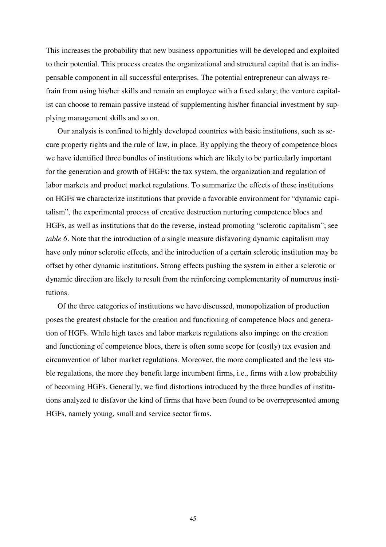This increases the probability that new business opportunities will be developed and exploited to their potential. This process creates the organizational and structural capital that is an indispensable component in all successful enterprises. The potential entrepreneur can always refrain from using his/her skills and remain an employee with a fixed salary; the venture capitalist can choose to remain passive instead of supplementing his/her financial investment by supplying management skills and so on.

Our analysis is confined to highly developed countries with basic institutions, such as secure property rights and the rule of law, in place. By applying the theory of competence blocs we have identified three bundles of institutions which are likely to be particularly important for the generation and growth of HGFs: the tax system, the organization and regulation of labor markets and product market regulations. To summarize the effects of these institutions on HGFs we characterize institutions that provide a favorable environment for "dynamic capitalism", the experimental process of creative destruction nurturing competence blocs and HGFs, as well as institutions that do the reverse, instead promoting "sclerotic capitalism"; see *table 6*. Note that the introduction of a single measure disfavoring dynamic capitalism may have only minor sclerotic effects, and the introduction of a certain sclerotic institution may be offset by other dynamic institutions. Strong effects pushing the system in either a sclerotic or dynamic direction are likely to result from the reinforcing complementarity of numerous institutions.

Of the three categories of institutions we have discussed, monopolization of production poses the greatest obstacle for the creation and functioning of competence blocs and generation of HGFs. While high taxes and labor markets regulations also impinge on the creation and functioning of competence blocs, there is often some scope for (costly) tax evasion and circumvention of labor market regulations. Moreover, the more complicated and the less stable regulations, the more they benefit large incumbent firms, i.e., firms with a low probability of becoming HGFs. Generally, we find distortions introduced by the three bundles of institutions analyzed to disfavor the kind of firms that have been found to be overrepresented among HGFs, namely young, small and service sector firms.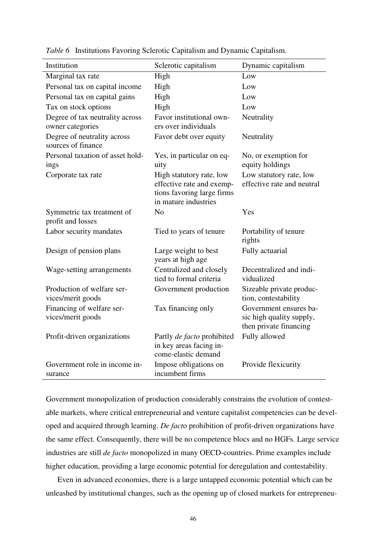| Institution                                         | Sclerotic capitalism                                                                                        | Dynamic capitalism                                                           |
|-----------------------------------------------------|-------------------------------------------------------------------------------------------------------------|------------------------------------------------------------------------------|
| Marginal tax rate                                   | High                                                                                                        | Low                                                                          |
| Personal tax on capital income                      | High                                                                                                        | Low                                                                          |
| Personal tax on capital gains                       | High                                                                                                        | Low                                                                          |
| Tax on stock options                                | High                                                                                                        | Low                                                                          |
| Degree of tax neutrality across<br>owner categories | Favor institutional own-<br>ers over individuals                                                            | Neutrality                                                                   |
| Degree of neutrality across<br>sources of finance   | Favor debt over equity                                                                                      | Neutrality                                                                   |
| Personal taxation of asset hold-<br>ings            | Yes, in particular on eq-<br>uity                                                                           | No, or exemption for<br>equity holdings                                      |
| Corporate tax rate                                  | High statutory rate, low<br>effective rate and exemp-<br>tions favoring large firms<br>in mature industries | Low statutory rate, low<br>effective rate and neutral                        |
| Symmetric tax treatment of<br>profit and losses     | N <sub>o</sub>                                                                                              | Yes                                                                          |
| Labor security mandates                             | Tied to years of tenure                                                                                     | Portability of tenure<br>rights                                              |
| Design of pension plans                             | Large weight to best<br>years at high age                                                                   | Fully actuarial                                                              |
| Wage-setting arrangements                           | Centralized and closely<br>tied to formal criteria                                                          | Decentralized and indi-<br>vidualized                                        |
| Production of welfare ser-<br>vices/merit goods     | Government production                                                                                       | Sizeable private produc-<br>tion, contestability                             |
| Financing of welfare ser-<br>vices/merit goods      | Tax financing only                                                                                          | Government ensures ba-<br>sic high quality supply,<br>then private financing |
| Profit-driven organizations                         | Partly <i>de facto</i> prohibited<br>in key areas facing in-<br>come-elastic demand                         | Fully allowed                                                                |
| Government role in income in-<br>surance            | Impose obligations on<br>incumbent firms                                                                    | Provide flexicurity                                                          |

*Table 6* Institutions Favoring Sclerotic Capitalism and Dynamic Capitalism.

Government monopolization of production considerably constrains the evolution of contestable markets, where critical entrepreneurial and venture capitalist competencies can be developed and acquired through learning. *De fact*o prohibition of profit-driven organizations have the same effect. Consequently, there will be no competence blocs and no HGFs. Large service industries are still *de facto* monopolized in many OECD-countries. Prime examples include higher education, providing a large economic potential for deregulation and contestability.

Even in advanced economies, there is a large untapped economic potential which can be unleashed by institutional changes, such as the opening up of closed markets for entrepreneu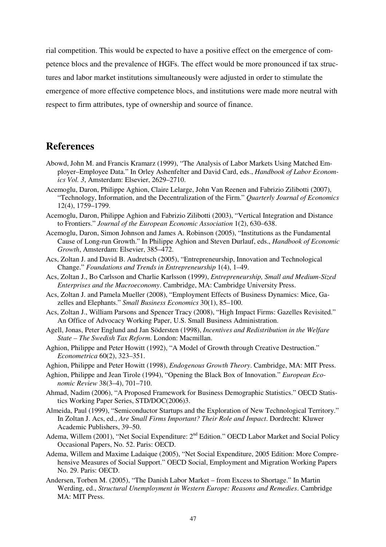rial competition. This would be expected to have a positive effect on the emergence of competence blocs and the prevalence of HGFs. The effect would be more pronounced if tax structures and labor market institutions simultaneously were adjusted in order to stimulate the emergence of more effective competence blocs, and institutions were made more neutral with respect to firm attributes, type of ownership and source of finance.

# **References**

- Abowd, John M. and Francis Kramarz (1999), "The Analysis of Labor Markets Using Matched Employer–Employee Data." In Orley Ashenfelter and David Card, eds., *Handbook of Labor Economics Vol. 3*, Amsterdam: Elsevier, 2629–2710.
- Acemoglu, Daron, Philippe Aghion, Claire Lelarge, John Van Reenen and Fabrizio Zilibotti (2007), "Technology, Information, and the Decentralization of the Firm." *Quarterly Journal of Economics* 12(4), 1759–1799.
- Acemoglu, Daron, Philippe Aghion and Fabrizio Zilibotti (2003), "Vertical Integration and Distance to Frontiers." *Journal of the European Economic Association* 1(2), 630–638.
- Acemoglu, Daron, Simon Johnson and James A. Robinson (2005), "Institutions as the Fundamental Cause of Long-run Growth." In Philippe Aghion and Steven Durlauf, eds., *Handbook of Economic Growth*, Amsterdam: Elsevier, 385–472.
- Acs, Zoltan J. and David B. Audretsch (2005), "Entrepreneurship, Innovation and Technological Change." *Foundations and Trends in Entrepreneurship* 1(4), 1–49.
- Acs, Zoltan J., Bo Carlsson and Charlie Karlsson (1999), *Entrepreneurship, Small and Medium-Sized Enterprises and the Macroeconomy*. Cambridge, MA: Cambridge University Press.
- Acs, Zoltan J. and Pamela Mueller (2008), "Employment Effects of Business Dynamics: Mice, Gazelles and Elephants." *Small Business Economics* 30(1), 85–100.
- Acs, Zoltan J., William Parsons and Spencer Tracy (2008), "High Impact Firms: Gazelles Revisited." An Office of Advocacy Working Paper, U.S. Small Business Administration.
- Agell, Jonas, Peter Englund and Jan Södersten (1998), *Incentives and Redistribution in the Welfare State – The Swedish Tax Reform*. London: Macmillan.
- Aghion, Philippe and Peter Howitt (1992), "A Model of Growth through Creative Destruction." *Econometrica* 60(2), 323–351.
- Aghion, Philippe and Peter Howitt (1998), *Endogenous Growth Theory*. Cambridge, MA: MIT Press.
- Aghion, Philippe and Jean Tirole (1994), "Opening the Black Box of Innovation." *European Economic Review* 38(3–4), 701–710.
- Ahmad, Nadim (2006), "A Proposed Framework for Business Demographic Statistics." OECD Statistics Working Paper Series, STD/DOC(2006)3.
- Almeida, Paul (1999), "Semiconductor Startups and the Exploration of New Technological Territory." In Zoltan J. Acs, ed., *Are Small Firms Important? Their Role and Impact*. Dordrecht: Kluwer Academic Publishers, 39–50.
- Adema, Willem (2001), "Net Social Expenditure: 2<sup>nd</sup> Edition." OECD Labor Market and Social Policy Occasional Papers, No. 52. Paris: OECD.
- Adema, Willem and Maxime Ladaique (2005), "Net Social Expenditure, 2005 Edition: More Comprehensive Measures of Social Support." OECD Social, Employment and Migration Working Papers No. 29. Paris: OECD.
- Andersen, Torben M. (2005), "The Danish Labor Market from Excess to Shortage." In Martin Werding, ed., *Structural Unemployment in Western Europe: Reasons and Remedies*. Cambridge MA: MIT Press.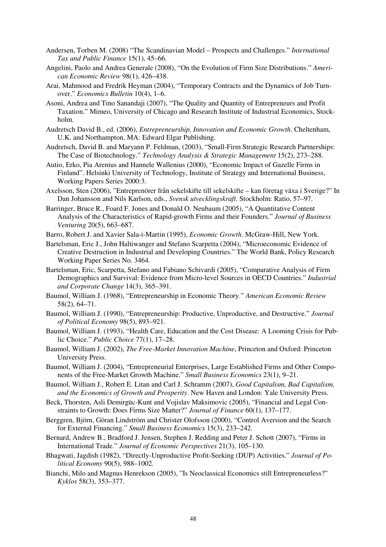- Andersen, Torben M. (2008) "The Scandinavian Model Prospects and Challenges." *International Tax and Public Finance* 15(1), 45–66.
- Angelini, Paolo and Andrea Generale (2008), "On the Evolution of Firm Size Distributions." *American Economic Review* 98(1), 426–438.
- Arai, Mahmood and Fredrik Heyman (2004), "Temporary Contracts and the Dynamics of Job Turnover." *Economics Bulletin* 10(4), 1–6.
- Asoni, Andrea and Tino Sanandaji (2007), "The Quality and Quantity of Entrepreneurs and Profit Taxation." Mimeo, University of Chicago and Research Institute of Industrial Economics, Stockholm.
- Audretsch David B., ed. (2006), *Entrepreneurship, Innovation and Economic Growth*. Cheltenham, U.K. and Northampton, MA: Edward Elgar Publishing.
- Audretsch, David B. and Maryann P. Feldman, (2003), "Small-Firm Strategic Research Partnerships: The Case of Biotechnology." *Technology Analysis & Strategic Management* 15(2), 273–288.
- Autio, Erko, Pia Arenius and Hannele Wallenius (2000), "Economic Impact of Gazelle Firms in Finland". Helsinki University of Technology, Institute of Strategy and International Business, Working Papers Series 2000:3.
- Axelsson, Sten (2006), "Entreprenörer från sekelskifte till sekelskifte kan företag växa i Sverige?" In Dan Johansson and Nils Karlson, eds., *Svensk utvecklingskraft*. Stockholm: Ratio, 57–97.
- Barringer, Bruce R., Foard F. Jones and Donald O. Neubaum (2005), "A Quantitative Content Analysis of the Characteristics of Rapid-growth Firms and their Founders." *Journal of Business Venturing* 20(5), 663–687.
- Barro, Robert J. and Xavier Sala-i-Martin (1995), *Economic Growth*. McGraw-Hill, New York.
- Bartelsman, Eric J., John Haltiwanger and Stefano Scarpetta (2004), "Microeconomic Evidence of Creative Destruction in Industrial and Developing Countries." The World Bank, Policy Research Working Paper Series No. 3464.
- Bartelsman, Eric, Scarpetta, Stefano and Fabiano Schivardi (2005), "Comparative Analysis of Firm Demographics and Survival: Evidence from Micro-level Sources in OECD Countries." *Industrial and Corporate Change* 14(3), 365–391.
- Baumol, William J. (1968), "Entrepreneurship in Economic Theory." *American Economic Review*  58(2), 64–71.
- Baumol, William J. (1990), "Entrepreneurship: Productive, Unproductive, and Destructive." *Journal of Political Economy* 98(5), 893–921.
- Baumol, William J. (1993), "Health Care, Education and the Cost Disease: A Looming Crisis for Public Choice." *Public Choice* 77(1), 17–28.
- Baumol, William J. (2002), *The Free-Market Innovation Machine*, Princeton and Oxford: Princeton University Press.
- Baumol, William J. (2004), "Entrepreneurial Enterprises, Large Established Firms and Other Components of the Free-Market Growth Machine." *Small Business Economics* 23(1), 9–21.
- Baumol, William J., Robert E. Litan and Carl J. Schramm (2007), *Good Capitalism, Bad Capitalism, and the Economics of Growth and Prosperity*. New Haven and London: Yale University Press.
- Beck, Thorsten, Asli Demirgüc-Kunt and Vojislav Maksimovic (2005), "Financial and Legal Constraints to Growth: Does Firms Size Matter?" *Journal of Finance* 60(1), 137–177.
- Berggren, Björn, Göran Lindström and Christer Olofsson (2000), "Control Aversion and the Search for External Financing." *Small Business Economics* 15(3), 233–242.
- Bernard, Andrew B., Bradford J. Jensen, Stephen J. Redding and Peter J. Schott (2007), "Firms in International Trade." *Journal of Economic Perspectives* 21(3), 105–130.
- Bhagwati, Jagdish (1982), "Directly-Unproductive Profit-Seeking (DUP) Activities." *Journal of Political Economy* 90(5), 988–1002.
- Bianchi, Milo and Magnus Henrekson (2005), "Is Neoclassical Economics still Entrepreneurless?" *Kyklos* 58(3), 353–377.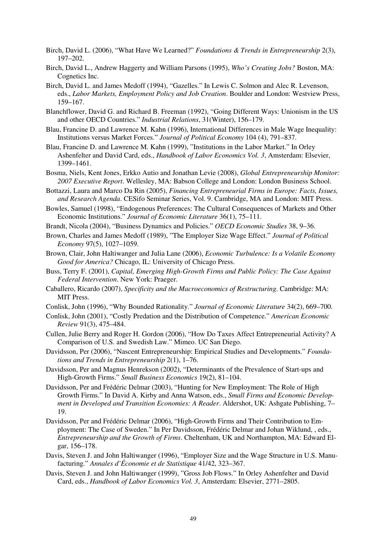- Birch, David L. (2006), "What Have We Learned?" *Foundations & Trends in Entrepreneurship* 2(3), 197–202.
- Birch, David L., Andrew Haggerty and William Parsons (1995), *Who's Creating Jobs?* Boston, MA: Cognetics Inc.
- Birch, David L. and James Medoff (1994), "Gazelles." In Lewis C. Solmon and Alec R. Levenson, eds., *Labor Markets, Employment Policy and Job Creation*. Boulder and London: Westview Press, 159–167.
- Blanchflower, David G. and Richard B. Freeman (1992), "Going Different Ways: Unionism in the US and other OECD Countries." *Industrial Relations*, 31(Winter), 156–179.
- Blau, Francine D. and Lawrence M. Kahn (1996), International Differences in Male Wage Inequality: Institutions versus Market Forces." *Journal of Political Economy* 104 (4), 791–837.
- Blau, Francine D. and Lawrence M. Kahn (1999), "Institutions in the Labor Market." In Orley Ashenfelter and David Card, eds., *Handbook of Labor Economics Vol. 3*, Amsterdam: Elsevier, 1399–1461.
- Bosma, Niels, Kent Jones, Erkko Autio and Jonathan Levie (2008), *Global Entrepreneurship Monitor: 2007 Executive Report*. Wellesley, MA: Babson College and London: London Business School.
- Bottazzi, Laura and Marco Da Rin (2005), *Financing Entrepreneurial Firms in Europe: Facts, Issues, and Research Agenda*. CESifo Seminar Series, Vol. 9. Cambridge, MA and London: MIT Press.
- Bowles, Samuel (1998), "Endogenous Preferences: The Cultural Consequences of Markets and Other Economic Institutions." *Journal of Economic Literature* 36(1), 75–111.
- Brandt, Nicola (2004), "Business Dynamics and Policies." *OECD Economic Studies* 38, 9–36.
- Brown, Charles and James Medoff (1989), "The Employer Size Wage Effect." *Journal of Political Economy* 97(5), 1027–1059.
- Brown, Clair, John Haltiwanger and Julia Lane (2006), *Economic Turbulence: Is a Volatile Economy Good for America?* Chicago, IL: University of Chicago Press.
- Buss, Terry F. (2001), *Capital, Emerging High-Growth Firms and Public Policy: The Case Against Federal Intervention*. New York: Praeger.
- Caballero, Ricardo (2007), *Specificity and the Macroeconomics of Restructuring*. Cambridge: MA: MIT Press.
- Conlisk, John (1996), "Why Bounded Rationality." *Journal of Economic Literature* 34(2), 669–700.
- Conlisk, John (2001), "Costly Predation and the Distribution of Competence." *American Economic Review* 91(3), 475–484.
- Cullen, Julie Berry and Roger H. Gordon (2006), "How Do Taxes Affect Entrepreneurial Activity? A Comparison of U.S. and Swedish Law." Mimeo. UC San Diego.
- Davidsson, Per (2006), "Nascent Entrepreneurship: Empirical Studies and Developments." *Foundations and Trends in Entrepreneurship* 2(1), 1–76.
- Davidsson, Per and Magnus Henrekson (2002), "Determinants of the Prevalence of Start-ups and High-Growth Firms." *Small Business Economics* 19(2), 81–104.
- Davidsson, Per and Frédéric Delmar (2003), "Hunting for New Employment: The Role of High Growth Firms." In David A. Kirby and Anna Watson, eds., *Small Firms and Economic Development in Developed and Transition Economies: A Reader*. Aldershot, UK: Ashgate Publishing, 7– 19.
- Davidsson, Per and Frédéric Delmar (2006), "High-Growth Firms and Their Contribution to Employment: The Case of Sweden." In Per Davidsson, Frédéric Delmar and Johan Wiklund, , eds., *Entrepreneurship and the Growth of Firms*. Cheltenham, UK and Northampton, MA: Edward Elgar, 156–178.
- Davis, Steven J. and John Haltiwanger (1996), "Employer Size and the Wage Structure in U.S. Manufacturing." *Annales d'Économie et de Statistique* 41/42, 323–367.
- Davis, Steven J. and John Haltiwanger (1999), "Gross Job Flows." In Orley Ashenfelter and David Card, eds., *Handbook of Labor Economics Vol. 3*, Amsterdam: Elsevier, 2771–2805.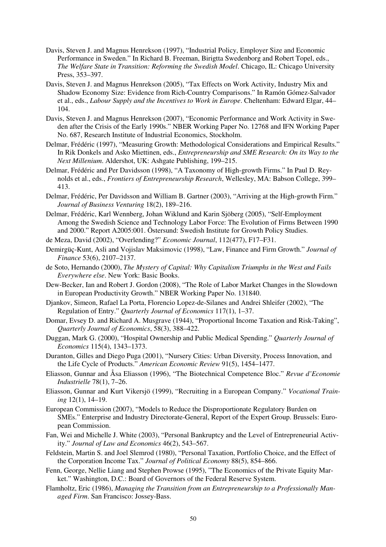- Davis, Steven J. and Magnus Henrekson (1997), "Industrial Policy, Employer Size and Economic Performance in Sweden." In Richard B. Freeman, Birigtta Swedenborg and Robert Topel, eds., *The Welfare State in Transition: Reforming the Swedish Model*. Chicago, IL: Chicago University Press, 353–397.
- Davis, Steven J. and Magnus Henrekson (2005), "Tax Effects on Work Activity, Industry Mix and Shadow Economy Size: Evidence from Rich-Country Comparisons." In Ramón Gómez-Salvador et al., eds., *Labour Supply and the Incentives to Work in Europe*. Cheltenham: Edward Elgar, 44– 104.
- Davis, Steven J. and Magnus Henrekson (2007), "Economic Performance and Work Activity in Sweden after the Crisis of the Early 1990s." NBER Working Paper No. 12768 and IFN Working Paper No. 687, Research Institute of Industrial Economics, Stockholm.
- Delmar, Frédéric (1997), "Measuring Growth: Methodological Considerations and Empirical Results." In Rik Donkels and Asko Miettinen, eds., *Entrepreneurship and SME Research: On its Way to the Next Millenium*. Aldershot, UK: Ashgate Publishing, 199–215.
- Delmar, Frédéric and Per Davidsson (1998), "A Taxonomy of High-growth Firms." In Paul D. Reynolds et al., eds., *Frontiers of Entrepreneurship Research*, Wellesley, MA: Babson College, 399– 413.
- Delmar, Frédéric, Per Davidsson and William B. Gartner (2003), "Arriving at the High-growth Firm." *Journal of Business Venturing* 18(2), 189–216.
- Delmar, Frédéric, Karl Wennberg, Johan Wiklund and Karin Sjöberg (2005), "Self-Employment Among the Swedish Science and Technology Labor Force: The Evolution of Firms Between 1990 and 2000." Report A2005:001. Östersund: Swedish Institute for Growth Policy Studies.
- de Meza, David (2002), "Overlending?" *Economic Journal*, 112(477), F17–F31.
- Demirgüç-Kunt, Asli and Vojislav Maksimovic (1998), "Law, Finance and Firm Growth." *Journal of Finance* 53(6), 2107–2137.
- de Soto, Hernando (2000), *The Mystery of Capital: Why Capitalism Triumphs in the West and Fails Everywhere else*. New York: Basic Books.
- Dew-Becker, Ian and Robert J. Gordon (2008), "The Role of Labor Market Changes in the Slowdown in European Productivity Growth." NBER Working Paper No. 131840.
- Djankov, Simeon, Rafael La Porta, Florencio Lopez-de-Silanes and Andrei Shleifer (2002), "The Regulation of Entry." *Quarterly Journal of Economics* 117(1), 1–37.
- Domar, Evsey D. and Richard A. Musgrave (1944), "Proportional Income Taxation and Risk-Taking", *Quarterly Journal of Economics*, 58(3), 388–422.
- Duggan, Mark G. (2000), "Hospital Ownership and Public Medical Spending." *Quarterly Journal of Economics* 115(4), 1343–1373.
- Duranton, Gilles and Diego Puga (2001), "Nursery Cities: Urban Diversity, Process Innovation, and the Life Cycle of Products." *American Economic Review* 91(5), 1454–1477.
- Eliasson, Gunnar and Åsa Eliasson (1996), "The Biotechnical Competence Bloc." *Revue d'Economie Industrielle* 78(1), 7–26.
- Eliasson, Gunnar and Kurt Vikersjö (1999), "Recruiting in a European Company." *Vocational Training* 12(1), 14–19.
- European Commission (2007), "Models to Reduce the Disproportionate Regulatory Burden on SMEs." Enterprise and Industry Directorate-General, Report of the Expert Group. Brussels: European Commission.
- Fan, Wei and Michelle J. White (2003), "Personal Bankruptcy and the Level of Entrepreneurial Activity." *Journal of Law and Economics* 46(2), 543–567.
- Feldstein, Martin S. and Joel Slemrod (1980), "Personal Taxation, Portfolio Choice, and the Effect of the Corporation Income Tax." *Journal of Political Economy* 88(5), 854–866.
- Fenn, George, Nellie Liang and Stephen Prowse (1995), "The Economics of the Private Equity Market." Washington, D.C.: Board of Governors of the Federal Reserve System.
- Flamholtz, Eric (1986), *Managing the Transition from an Entrepreneurship to a Professionally Managed Firm*. San Francisco: Jossey-Bass.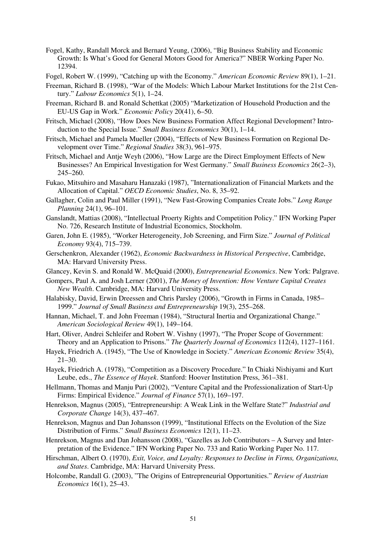- Fogel, Kathy, Randall Morck and Bernard Yeung, (2006), "Big Business Stability and Economic Growth: Is What's Good for General Motors Good for America?" NBER Working Paper No. 12394.
- Fogel, Robert W. (1999), "Catching up with the Economy." *American Economic Review* 89(1), 1–21.
- Freeman, Richard B. (1998), "War of the Models: Which Labour Market Institutions for the 21st Century." *Labour Economics* 5(1), 1–24.
- Freeman, Richard B. and Ronald Schettkat (2005) "Marketization of Household Production and the EU-US Gap in Work." *Economic Policy* 20(41), 6–50.
- Fritsch, Michael (2008), "How Does New Business Formation Affect Regional Development? Introduction to the Special Issue." *Small Business Economics* 30(1), 1–14.
- Fritsch, Michael and Pamela Mueller (2004), "Effects of New Business Formation on Regional Development over Time." *Regional Studies* 38(3), 961–975.
- Fritsch, Michael and Antie Weyh (2006), "How Large are the Direct Employment Effects of New Businesses? An Empirical Investigation for West Germany." *Small Business Economics* 26(2–3), 245–260.
- Fukao, Mitsuhiro and Masaharu Hanazaki (1987), "Internationalization of Financial Markets and the Allocation of Capital." *OECD Economic Studies*, No. 8, 35–92.
- Gallagher, Colin and Paul Miller (1991), "New Fast-Growing Companies Create Jobs." *Long Range Planning* 24(1), 96–101.
- Ganslandt, Mattias (2008), "Intellectual Proerty Rights and Competition Policy." IFN Working Paper No. 726, Research Institute of Industrial Economics, Stockholm.
- Garen, John E. (1985), "Worker Heterogeneity, Job Screening, and Firm Size." *Journal of Political Economy* 93(4), 715–739.
- Gerschenkron, Alexander (1962), *Economic Backwardness in Historical Perspective*, Cambridge, MA: Harvard University Press.
- Glancey, Kevin S. and Ronald W. McQuaid (2000), *Entrepreneurial Economics*. New York: Palgrave.
- Gompers, Paul A. and Josh Lerner (2001), *The Money of Invention: How Venture Capital Creates New Wealth*. Cambridge, MA: Harvard University Press.
- Halabisky, David, Erwin Dreessen and Chris Parsley (2006), "Growth in Firms in Canada, 1985– 1999." *Journal of Small Business and Entrepreneurship* 19(3), 255–268.
- Hannan, Michael, T. and John Freeman (1984), "Structural Inertia and Organizational Change." *American Sociological Review* 49(1), 149–164.
- Hart, Oliver, Andrei Schleifer and Robert W. Vishny (1997), "The Proper Scope of Government: Theory and an Application to Prisons." *The Quarterly Journal of Economics* 112(4), 1127–1161.
- Hayek, Friedrich A. (1945), "The Use of Knowledge in Society." *American Economic Review* 35(4), 21–30.
- Hayek, Friedrich A. (1978), "Competition as a Discovery Procedure." In Chiaki Nishiyami and Kurt Leube, eds., *The Essence of Hayek*. Stanford: Hoover Institution Press, 361–381.
- Hellmann, Thomas and Manju Puri (2002), "Venture Capital and the Professionalization of Start-Up Firms: Empirical Evidence." *Journal of Finance* 57(1), 169–197.
- Henrekson, Magnus (2005), "Entrepreneurship: A Weak Link in the Welfare State?" *Industrial and Corporate Change* 14(3), 437–467.
- Henrekson, Magnus and Dan Johansson (1999), "Institutional Effects on the Evolution of the Size Distribution of Firms." *Small Business Economics* 12(1), 11–23.
- Henrekson, Magnus and Dan Johansson (2008), "Gazelles as Job Contributors A Survey and Interpretation of the Evidence." IFN Working Paper No. 733 and Ratio Working Paper No. 117.
- Hirschman, Albert O. (1970), *Exit, Voice, and Loyalty: Responses to Decline in Firms, Organizations, and States*. Cambridge, MA: Harvard University Press.
- Holcombe, Randall G. (2003), "The Origins of Entrepreneurial Opportunities." *Review of Austrian Economics* 16(1), 25–43.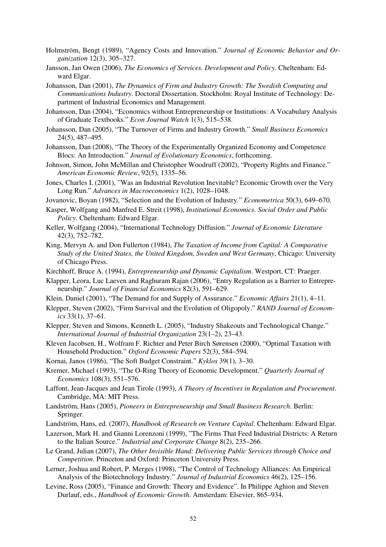- Holmström, Bengt (1989), "Agency Costs and Innovation." *Journal of Economic Behavior and Organization* 12(3), 305–327.
- Jansson, Jan Owen (2006), *The Economics of Services. Development and Policy*. Cheltenham: Edward Elgar.
- Johansson, Dan (2001), *The Dynamics of Firm and Industry Growth: The Swedish Computing and Communications Industry*. Doctoral Dissertation. Stockholm: Royal Institute of Technology: Department of Industrial Economics and Management.
- Johansson, Dan (2004), "Economics without Entrepreneurship or Institutions: A Vocabulary Analysis of Graduate Textbooks." *Econ Journal Watch* 1(3), 515–538.
- Johansson, Dan (2005), "The Turnover of Firms and Industry Growth." *Small Business Economics* 24(5), 487–495.
- Johansson, Dan (2008), "The Theory of the Experimentally Organized Economy and Competence Blocs: An Introduction." *Journal of Evolutionary Economics*, forthcoming.
- Johnson, Simon, John McMillan and Christopher Woodruff (2002), "Property Rights and Finance." *American Economic Review*, 92(5), 1335–56.
- Jones, Charles I. (2001), "Was an Industrial Revolution Inevitable? Economic Growth over the Very Long Run." *Advances in Macroeconomics* 1(2), 1028–1048.
- Jovanovic, Boyan (1982), "Selection and the Evolution of Industry." *Econometrica* 50(3), 649–670.
- Kasper, Wolfgang and Manfred E. Streit (1998), *Institutional Economics. Social Order and Public Policy*. Cheltenham: Edward Elgar.
- Keller, Wolfgang (2004), "International Technology Diffusion." *Journal of Economic Literature* 42(3), 752–782.
- King, Mervyn A. and Don Fullerton (1984), *The Taxation of Income from Capital: A Comparative Study of the United States, the United Kingdom, Sweden and West Germany*, Chicago: University of Chicago Press.
- Kirchhoff, Bruce A. (1994), *Entrepreneurship and Dynamic Capitalism*. Westport, CT: Praeger.
- Klapper, Leora, Luc Laeven and Raghuram Rajan (2006), "Entry Regulation as a Barrier to Entrepreneurship." *Journal of Financial Economics* 82(3), 591–629.
- Klein, Daniel (2001), "The Demand for and Supply of Assurance." *Economic Affairs* 21(1), 4–11.
- Klepper, Steven (2002), "Firm Survival and the Evolution of Oligopoly." *RAND Journal of Economics* 33(1), 37–61.
- Klepper, Steven and Simons, Kenneth L. (2005), "Industry Shakeouts and Technological Change." *International Journal of Industrial Organization* 23(1–2), 23–43.
- Kleven Jacobsen, H., Wolfram F. Richter and Peter Birch Sørensen (2000), "Optimal Taxation with Household Production." *Oxford Economic Papers* 52(3), 584–594.
- Kornai, Janos (1986), "The Soft Budget Constraint." *Kyklos* 39(1), 3–30.
- Kremer, Michael (1993), "The O-Ring Theory of Economic Development." *Quarterly Journal of Economics* 108(3), 551–576.
- Laffont, Jean-Jacques and Jean Tirole (1993), *A Theory of Incentives in Regulation and Procurement*. Cambridge, MA: MIT Press.
- Landström, Hans (2005), *Pioneers in Entrepreneurship and Small Business Research*. Berlin: Springer.
- Landström, Hans, ed. (2007), *Handbook of Research on Venture Capital*. Cheltenham: Edward Elgar.
- Lazerson, Mark H. and Gianni Lorenzoni (1999), "The Firms That Feed Industrial Districts: A Return to the Italian Source." *Industrial and Corporate Change* 8(2), 235–266.
- Le Grand, Julian (2007), *The Other Invisible Hand: Delivering Public Services through Choice and Competition*. Princeton and Oxford: Princeton University Press.
- Lerner, Joshua and Robert, P. Merges (1998), "The Control of Technology Alliances: An Empirical Analysis of the Biotechnology Industry." *Journal of Industrial Economics* 46(2), 125–156.
- Levine, Ross (2005), "Finance and Growth: Theory and Evidence". In Philippe Aghion and Steven Durlauf, eds., *Handbook of Economic Growth*. Amsterdam: Elsevier, 865–934.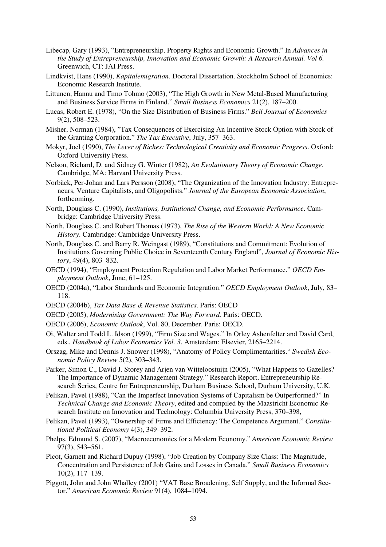- Libecap, Gary (1993), "Entrepreneurship, Property Rights and Economic Growth." In *Advances in the Study of Entrepreneurship, Innovation and Economic Growth: A Research Annual. Vol 6.*  Greenwich, CT: JAI Press.
- Lindkvist, Hans (1990), *Kapitalemigration*. Doctoral Dissertation. Stockholm School of Economics: Economic Research Institute.
- Littunen, Hannu and Timo Tohmo (2003), "The High Growth in New Metal-Based Manufacturing and Business Service Firms in Finland." *Small Business Economics* 21(2), 187–200.
- Lucas, Robert E. (1978), "On the Size Distribution of Business Firms." *Bell Journal of Economics* 9(2), 508–523.
- Misher, Norman (1984), "Tax Consequences of Exercising An Incentive Stock Option with Stock of the Granting Corporation." *The Tax Executive*, July, 357–363.
- Mokyr, Joel (1990), *The Lever of Riches: Technological Creativity and Economic Progress*. Oxford: Oxford University Press.
- Nelson, Richard, D. and Sidney G. Winter (1982), *An Evolutionary Theory of Economic Change*. Cambridge, MA: Harvard University Press.
- Norbäck, Per-Johan and Lars Persson (2008), "The Organization of the Innovation Industry: Entrepreneurs, Venture Capitalists, and Oligopolists." *Journal of the European Economic Association*, forthcoming.
- North, Douglass C. (1990), *Institutions, Institutional Change, and Economic Performance*. Cambridge: Cambridge University Press.
- North, Douglass C. and Robert Thomas (1973), *The Rise of the Western World: A New Economic History*. Cambridge: Cambridge University Press.
- North, Douglass C. and Barry R. Weingast (1989), "Constitutions and Commitment: Evolution of Institutions Governing Public Choice in Seventeenth Century England", *Journal of Economic History*, 49(4), 803–832.
- OECD (1994), "Employment Protection Regulation and Labor Market Performance." *OECD Employment Outlook*, June, 61–125.
- OECD (2004a), "Labor Standards and Economic Integration." *OECD Employment Outlook*, July, 83– 118.
- OECD (2004b), *Tax Data Base & Revenue Statistics*. Paris: OECD
- OECD (2005), *Modernising Government: The Way Forward.* Paris: OECD.
- OECD (2006), *Economic Outlook*, Vol. 80, December. Paris: OECD.
- Oi, Walter and Todd L. Idson (1999), "Firm Size and Wages." In Orley Ashenfelter and David Card, eds., *Handbook of Labor Economics Vol. 3*. Amsterdam: Elsevier, 2165–2214.
- Orszag, Mike and Dennis J. Snower (1998), "Anatomy of Policy Complimentarities." *Swedish Economic Policy Review* 5(2), 303–343.
- Parker, Simon C., David J. Storey and Arjen van Witteloostuijn (2005), "What Happens to Gazelles? The Importance of Dynamic Management Strategy." Research Report, Entrepreneurship Research Series, Centre for Entrepreneurship, Durham Business School, Durham University, U.K.
- Pelikan, Pavel (1988), "Can the Imperfect Innovation Systems of Capitalism be Outperformed?" In *Technical Change and Economic Theory*, edited and compiled by the Maastricht Economic Research Institute on Innovation and Technology: Columbia University Press, 370–398,
- Pelikan, Pavel (1993), "Ownership of Firms and Efficiency: The Competence Argument." *Constitutional Political Economy* 4(3), 349–392.
- Phelps, Edmund S. (2007), "Macroeconomics for a Modern Economy." *American Economic Review* 97(3), 543–561.
- Picot, Garnett and Richard Dupuy (1998), "Job Creation by Company Size Class: The Magnitude, Concentration and Persistence of Job Gains and Losses in Canada." *Small Business Economics* 10(2), 117–139.
- Piggott, John and John Whalley (2001) "VAT Base Broadening, Self Supply, and the Informal Sector." *American Economic Review* 91(4), 1084–1094.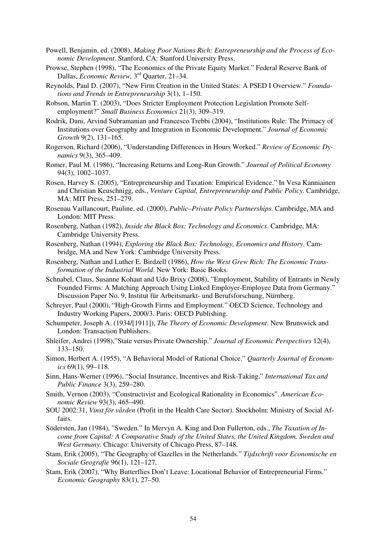- Powell, Benjamin, ed. (2008), *Making Poor Nations Rich: Entrepreneurship and the Process of Economic Development*. Stanford, CA: Stanford University Press.
- Prowse, Stephen (1998), "The Economics of the Private Equity Market." Federal Reserve Bank of Dallas, *Economic Review,* 3rd Quarter, 21–34.
- Reynolds, Paul D. (2007), "New Firm Creation in the United States: A PSED I Overview." *Foundations and Trends in Entrepreneurship* 3(1), 1–150.
- Robson, Martin T. (2003), "Does Stricter Employment Protection Legislation Promote Selfemployment?" *Small Business Economics* 21(3), 309–319.
- Rodrik, Dani, Arvind Subramanian and Francesco Trebbi (2004), "Institutions Rule: The Primacy of Institutions over Geography and Integration in Economic Development." *Journal of Economic Growth* 9(2), 131–165.
- Rogerson, Richard (2006), "Understanding Differences in Hours Worked." *Review of Economic Dynamics* 9(3), 365–409.
- Romer, Paul M. (1986), "Increasing Returns and Long-Run Growth." *Journal of Political Economy* 94(3), 1002–1037.
- Rosen, Harvey S. (2005), "Entrepreneurship and Taxation: Empirical Evidence." In Vesa Kanniainen and Christian Keuschnigg, eds., *Venture Capital, Entrepreneurship and Public Policy*. Cambridge, MA: MIT Press, 251–279.
- Rosenau Vaillancourt, Pauline, ed. (2000), *Public–Private Policy Partnerships*. Cambridge, MA and London: MIT Press.
- Rosenberg, Nathan (1982), *Inside the Black Box: Technology and Economics*. Cambridge, MA: Cambridge University Press.
- Rosenberg, Nathan (1994), *Exploring the Black Box: Technology, Economics and History*. Cambridge, MA and New York: Cambridge University Press.
- Rosenberg, Nathan and Luther E. Birdzell (1986), *How the West Grew Rich: The Economic Transformation of the Industrial World*. New York: Basic Books.
- Schnabel, Claus, Susanne Kohaut and Udo Brixy (2008), "Employment, Stability of Entrants in Newly Founded Firms: A Matching Approach Using Linked Employer-Employee Data from Germany." Discussion Paper No. 9, Institut für Arbeitsmarkt- und Berufsforschung, Nürnberg.
- Schreyer, Paul (2000), "High-Growth Firms and Employment." OECD Science, Technology and Industry Working Papers, 2000/3. Paris: OECD Publishing.
- Schumpeter, Joseph A. (1934/[1911]), *The Theory of Economic Development*. New Brunswick and London: Transaction Publishers.
- Shleifer, Andrei (1998),"State versus Private Ownership." *Journal of Economic Perspectives* 12(4), 133–150.
- Simon, Herbert A. (1955), "A Behavioral Model of Rational Choice." *Quarterly Journal of Economics* 69(1), 99–118.
- Sinn, Hans-Werner (1996), "Social Insurance, Incentives and Risk-Taking." *International Tax and Public Finance* 3(3), 259–280.
- Smith, Vernon (2003), "Constructivist and Ecological Rationality in Economics". *American Economic Review* 93(3), 465–490.
- SOU 2002:31, *Vinst för vården* (Profit in the Health Care Sector). Stockholm: Ministry of Social Affairs.
- Södersten, Jan (1984), "Sweden." In Mervyn A. King and Don Fullerton, eds., *The Taxation of Income from Capital: A Comparative Study of the United States, the United Kingdom, Sweden and West Germany.* Chicago: University of Chicago Press, 87–148.
- Stam, Erik (2005), "The Geography of Gazelles in the Netherlands." *Tijdschrift voor Economische en Sociale Geografie* 96(1), 121–127.
- Stam, Erik (2007), "Why Butterflies Don't Leave: Locational Behavior of Entrepreneurial Firms." *Economic Geography* 83(1), 27–50.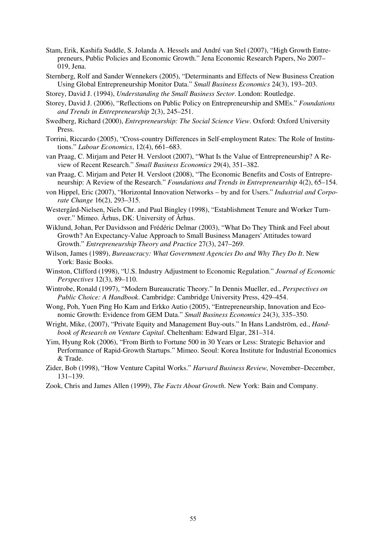- Stam, Erik, Kashifa Suddle, S. Jolanda A. Hessels and André van Stel (2007), "High Growth Entrepreneurs, Public Policies and Economic Growth." Jena Economic Research Papers, No 2007– 019, Jena.
- Sternberg, Rolf and Sander Wennekers (2005), "Determinants and Effects of New Business Creation Using Global Entrepreneurship Monitor Data." *Small Business Economics* 24(3), 193–203.
- Storey, David J. (1994), *Understanding the Small Business Sector*. London: Routledge.
- Storey, David J. (2006), "Reflections on Public Policy on Entrepreneurship and SMEs." *Foundations and Trends in Entrepreneurship* 2(3), 245–251.
- Swedberg, Richard (2000), *Entrepreneurship: The Social Science View*. Oxford: Oxford University Press.
- Torrini, Riccardo (2005), "Cross-country Differences in Self-employment Rates: The Role of Institutions." *Labour Economics*, 12(4), 661–683.
- van Praag, C. Mirjam and Peter H. Versloot (2007), "What Is the Value of Entrepreneurship? A Review of Recent Research." *Small Business Economics* 29(4), 351–382.
- van Praag, C. Mirjam and Peter H. Versloot (2008), "The Economic Benefits and Costs of Entrepreneurship: A Review of the Research." *Foundations and Trends in Entrepreneurship* 4(2), 65–154.
- von Hippel, Eric (2007), "Horizontal Innovation Networks by and for Users." *Industrial and Corporate Change* 16(2), 293–315.
- Westergård-Nielsen, Niels Chr. and Paul Bingley (1998), "Establishment Tenure and Worker Turnover." Mimeo. Århus, DK: University of Århus.
- Wiklund, Johan, Per Davidsson and Frédéric Delmar (2003), "What Do They Think and Feel about Growth? An Expectancy-Value Approach to Small Business Managers' Attitudes toward Growth." *Entrepreneurship Theory and Practice* 27(3), 247–269.
- Wilson, James (1989), *Bureaucracy: What Government Agencies Do and Why They Do It*. New York: Basic Books.
- Winston, Clifford (1998), "U.S. Industry Adjustment to Economic Regulation." *Journal of Economic Perspectives* 12(3), 89–110.
- Wintrobe, Ronald (1997), "Modern Bureaucratic Theory." In Dennis Mueller, ed., *Perspectives on Public Choice: A Handbook*. Cambridge: Cambridge University Press, 429–454.
- Wong, Poh, Yuen Ping Ho Kam and Erkko Autio (2005), "Entrepreneurship, Innovation and Economic Growth: Evidence from GEM Data." *Small Business Economics* 24(3), 335–350.
- Wright, Mike, (2007), "Private Equity and Management Buy-outs." In Hans Landström, ed., *Handbook of Research on Venture Capital*. Cheltenham: Edward Elgar, 281–314.
- Yim, Hyung Rok (2006), "From Birth to Fortune 500 in 30 Years or Less: Strategic Behavior and Performance of Rapid-Growth Startups." Mimeo. Seoul: Korea Institute for Industrial Economics & Trade.
- Zider, Bob (1998), "How Venture Capital Works." *Harvard Business Review,* November–December, 131–139.
- Zook, Chris and James Allen (1999), *The Facts About Growth*. New York: Bain and Company.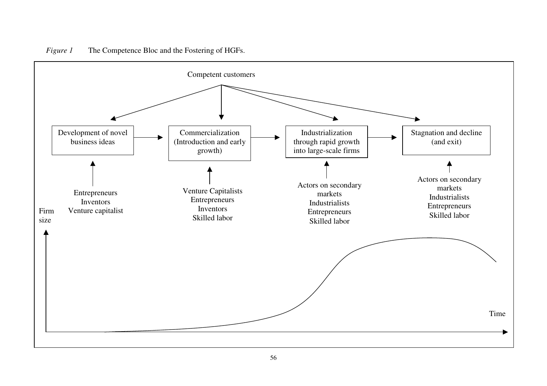

*Figure 1* The Competence Bloc and the Fostering of HGFs.